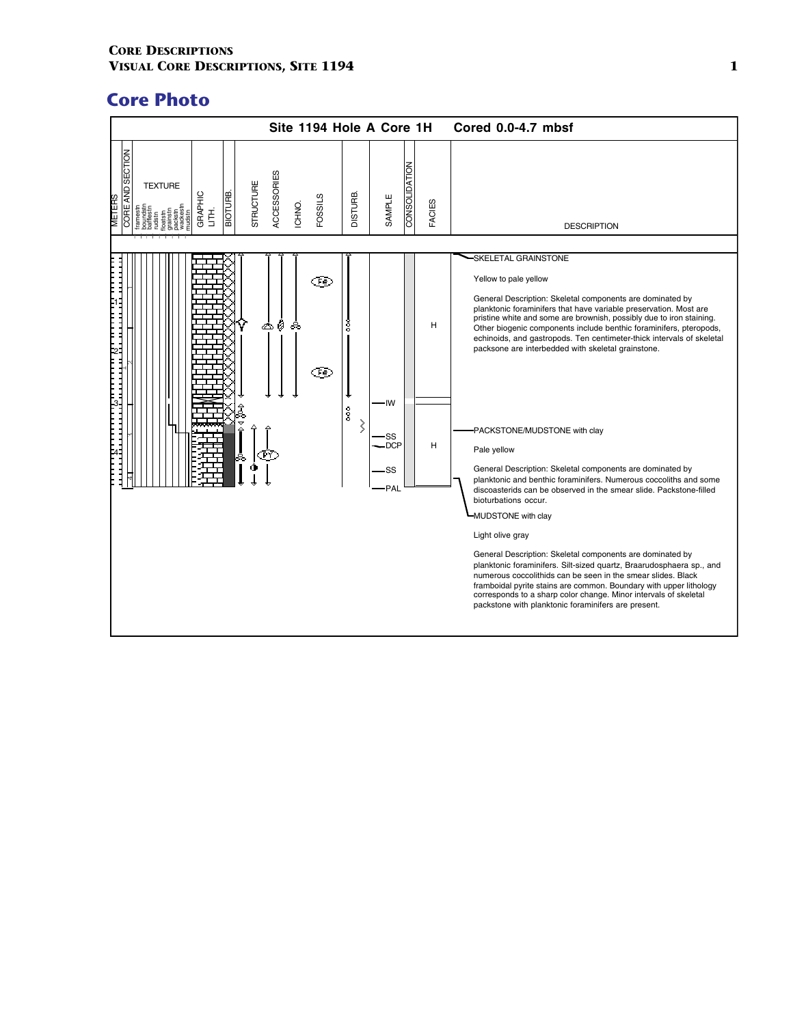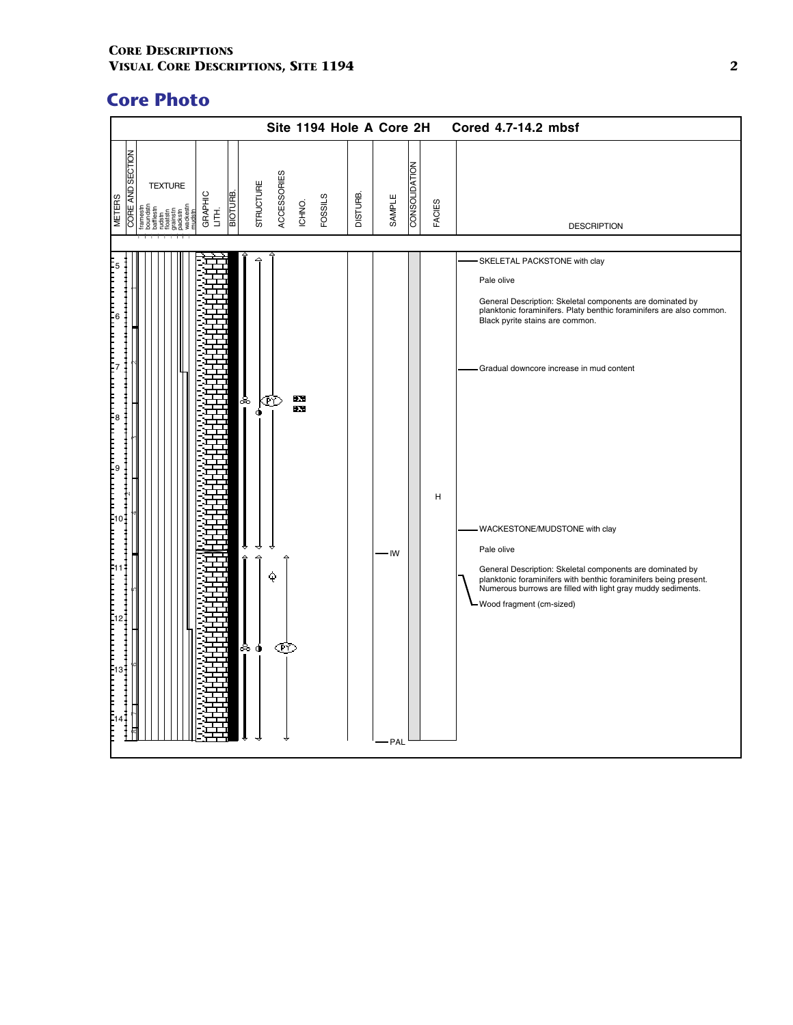|                                          |                                              |                          |                                            |             |           |                |                 | Site 1194 Hole A Core 2H |               |        | Cored 4.7-14.2 mbsf                                                                                                                                                                                                                                                                                                                                                                                                                                                                                                                            |
|------------------------------------------|----------------------------------------------|--------------------------|--------------------------------------------|-------------|-----------|----------------|-----------------|--------------------------|---------------|--------|------------------------------------------------------------------------------------------------------------------------------------------------------------------------------------------------------------------------------------------------------------------------------------------------------------------------------------------------------------------------------------------------------------------------------------------------------------------------------------------------------------------------------------------------|
| <b>CORE AND SECTION</b><br><b>METERS</b> | <b>TEXTURE</b><br>patstn<br>ainstr<br>ackstn | BIOTURB.<br>GRAPHIC<br>舌 | STRUCTURE                                  | ACCESSORIES | ICHNO.    | <b>FOSSILS</b> | <b>DISTURB.</b> | SAMPLE                   | CONSOLIDATION | FACIES | <b>DESCRIPTION</b>                                                                                                                                                                                                                                                                                                                                                                                                                                                                                                                             |
|                                          |                                              |                          |                                            |             |           |                |                 |                          |               |        |                                                                                                                                                                                                                                                                                                                                                                                                                                                                                                                                                |
| IЗ.                                      |                                              |                          | နီ<br>٠<br>→<br>$\hat{r}$<br>≙<br>శిం<br>۰ | Œ<br>è<br>Œ | ÷Х.<br>Đ. |                |                 | - IW<br>- PAL            |               | н      | -SKELETAL PACKSTONE with clay<br>Pale olive<br>General Description: Skeletal components are dominated by<br>planktonic foraminifers. Platy benthic foraminifers are also common.<br>Black pyrite stains are common.<br>Gradual downcore increase in mud content<br>- WACKESTONE/MUDSTONE with clay<br>Pale olive<br>General Description: Skeletal components are dominated by<br>planktonic foraminifers with benthic foraminifers being present.<br>Numerous burrows are filled with light gray muddy sediments.<br>-Wood fragment (cm-sized) |
|                                          |                                              |                          |                                            |             |           |                |                 |                          |               |        |                                                                                                                                                                                                                                                                                                                                                                                                                                                                                                                                                |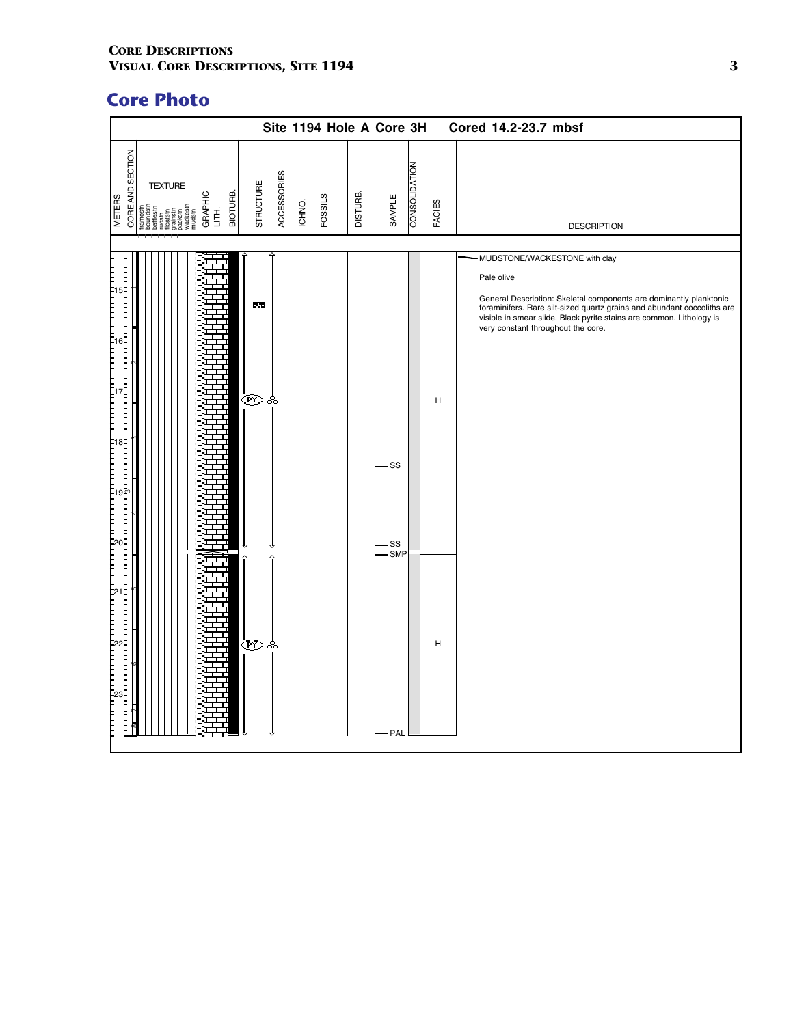|                                          |                                                          |                                    |                   |             |        |                |          | Site 1194 Hole A Core 3H |               |        | Cored 14.2-23.7 mbsf                                                                                                                                                                                                                                                      |
|------------------------------------------|----------------------------------------------------------|------------------------------------|-------------------|-------------|--------|----------------|----------|--------------------------|---------------|--------|---------------------------------------------------------------------------------------------------------------------------------------------------------------------------------------------------------------------------------------------------------------------------|
| <b>CORE AND SECTION</b><br><b>METERS</b> | <b>TEXTURE</b><br>vackest<br>nudstn<br>rainstr<br>ackstn | <b>BIOTURE</b><br>GRAPHIC<br>LITH. | STRUCTURE         | ACCESSORIES | ICHNO. | <b>FOSSILS</b> | DISTURB. | SAMPLE                   | CONSOLIDATION | FACIES | <b>DESCRIPTION</b>                                                                                                                                                                                                                                                        |
|                                          |                                                          |                                    |                   |             |        |                |          |                          |               |        | MUDSTONE/WACKESTONE with clay                                                                                                                                                                                                                                             |
|                                          |                                                          |                                    | $\mathbf{X}$<br>Œ | ఉ           |        |                |          | -SS<br>·SS               |               | Н      | Pale olive<br>General Description: Skeletal components are dominantly planktonic<br>foraminifers. Rare silt-sized quartz grains and abundant coccoliths are<br>visible in smear slide. Black pyrite stains are common. Lithology is<br>very constant throughout the core. |
|                                          |                                                          |                                    | ෙෙෙ               |             |        |                |          | -SMP<br>- PAL            |               | н      |                                                                                                                                                                                                                                                                           |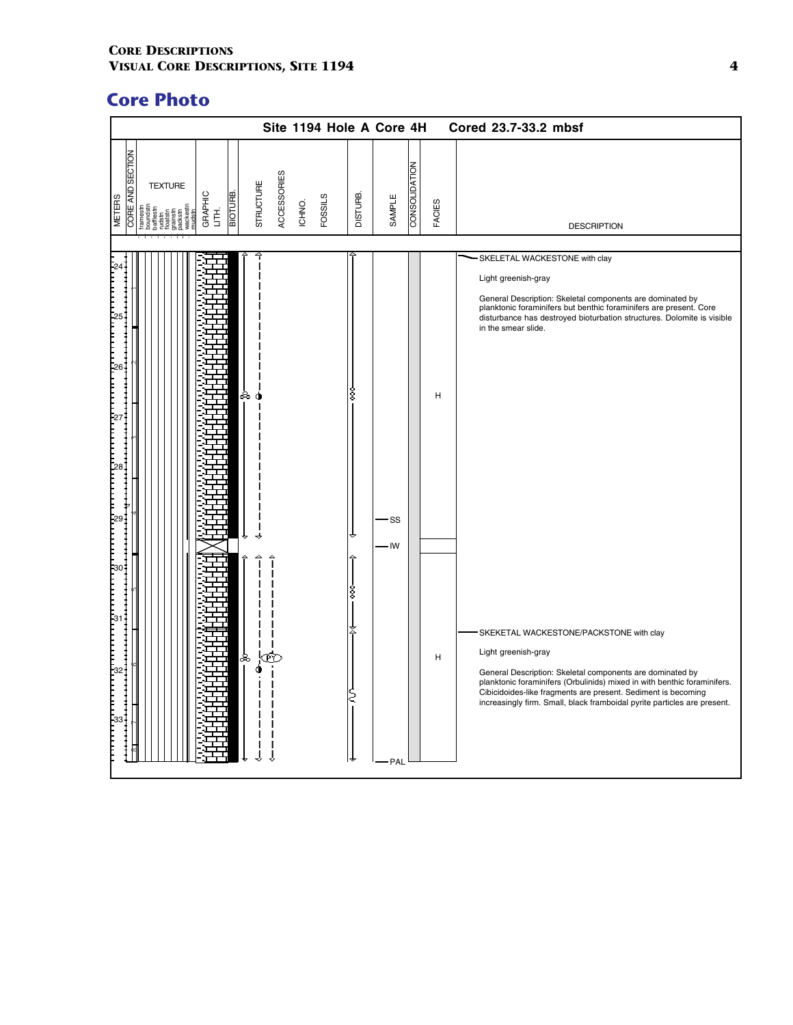|                                          |                                                        |                                |           |             |        |                |                 | Site 1194 Hole A Core 4H |               |        |   | Cored 23.7-33.2 mbsf                                                                                                                                                                                                                                                                                                                                 |
|------------------------------------------|--------------------------------------------------------|--------------------------------|-----------|-------------|--------|----------------|-----------------|--------------------------|---------------|--------|---|------------------------------------------------------------------------------------------------------------------------------------------------------------------------------------------------------------------------------------------------------------------------------------------------------------------------------------------------------|
| <b>CORE AND SECTION</b><br><b>METERS</b> | <b>TEXTURE</b><br>frames<br>patstn<br>ainstr<br>ickstr | <b>BIOTURE</b><br>GRAPHIC<br>舌 | STRUCTURE | ACCESSORIES | ICHNO. | <b>FOSSILS</b> | <b>DISTURB.</b> | SAMPLE                   | CONSOLIDATION | FACIES |   | <b>DESCRIPTION</b>                                                                                                                                                                                                                                                                                                                                   |
|                                          |                                                        |                                |           |             |        |                |                 |                          |               |        |   |                                                                                                                                                                                                                                                                                                                                                      |
|                                          |                                                        |                                | ಹಿ        |             |        |                | š               | - SS                     |               |        | н | SKELETAL WACKESTONE with clay<br>Light greenish-gray<br>General Description: Skeletal components are dominated by<br>planktonic foraminifers but benthic foraminifers are present. Core<br>disturbance has destroyed bioturbation structures. Dolomite is visible<br>in the smear slide.                                                             |
|                                          |                                                        |                                |           |             |        |                |                 | - IW                     |               |        |   |                                                                                                                                                                                                                                                                                                                                                      |
|                                          |                                                        |                                | ಹಿ        |             |        |                | ŝ<br>ξ          | PAL                      |               |        | H | SKEKETAL WACKESTONE/PACKSTONE with clay<br>Light greenish-gray<br>General Description: Skeletal components are dominated by<br>planktonic foraminifers (Orbulinids) mixed in with benthic foraminifers.<br>Cibicidoides-like fragments are present. Sediment is becoming<br>increasingly firm. Small, black framboidal pyrite particles are present. |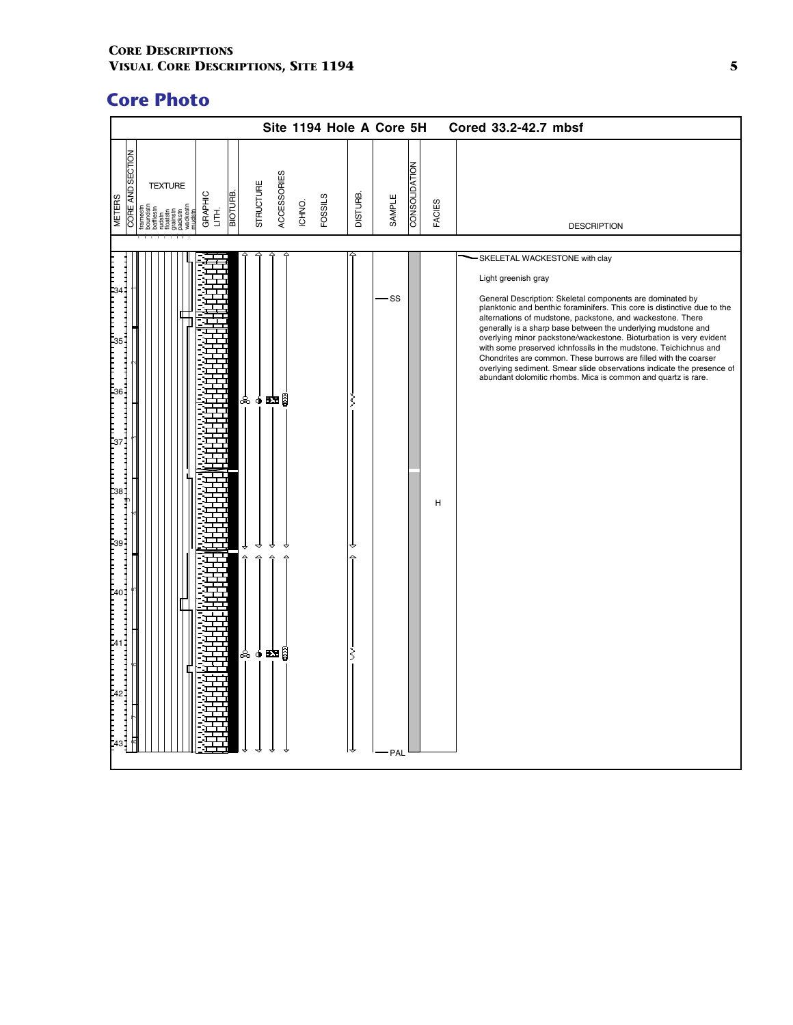| <b>CORE AND SECTION</b><br>CONSOLIDATION<br>ACCESSORIES<br><b>STRUCTURE</b><br><b>TEXTURE</b><br>BIOTURB.<br>GRAPHIC<br><b>DISTURB.</b><br><b>FOSSILS</b><br><b>METERS</b><br>SAMPLE<br>ICHNO.<br>FACIES<br>百<br>floatstn<br>grainstr<br>packstn<br><b>DESCRIPTION</b><br>SKELETAL WACKESTONE with clay<br>Light greenish gray<br>·SS<br>ஃ௦ஊை | Cored 33.2-42.7 mbsf                                                                                                                                                                                                                                                                                                                                                                                                                                                                                                                                                                                                         |  | Site 1194 Hole A Core 5H |  |  |  |  |
|-----------------------------------------------------------------------------------------------------------------------------------------------------------------------------------------------------------------------------------------------------------------------------------------------------------------------------------------------|------------------------------------------------------------------------------------------------------------------------------------------------------------------------------------------------------------------------------------------------------------------------------------------------------------------------------------------------------------------------------------------------------------------------------------------------------------------------------------------------------------------------------------------------------------------------------------------------------------------------------|--|--------------------------|--|--|--|--|
|                                                                                                                                                                                                                                                                                                                                               |                                                                                                                                                                                                                                                                                                                                                                                                                                                                                                                                                                                                                              |  |                          |  |  |  |  |
|                                                                                                                                                                                                                                                                                                                                               |                                                                                                                                                                                                                                                                                                                                                                                                                                                                                                                                                                                                                              |  |                          |  |  |  |  |
| H<br>$\triangle$<br>$\Delta$<br>ஃச⊠ாβி<br>PAL                                                                                                                                                                                                                                                                                                 | General Description: Skeletal components are dominated by<br>planktonic and benthic foraminifers. This core is distinctive due to the<br>alternations of mudstone, packstone, and wackestone. There<br>generally is a sharp base between the underlying mudstone and<br>overlying minor packstone/wackestone. Bioturbation is very evident<br>with some preserved ichnfossils in the mudstone. Teichichnus and<br>Chondrites are common. These burrows are filled with the coarser<br>overlying sediment. Smear slide observations indicate the presence of<br>abundant dolomitic rhombs. Mica is common and quartz is rare. |  |                          |  |  |  |  |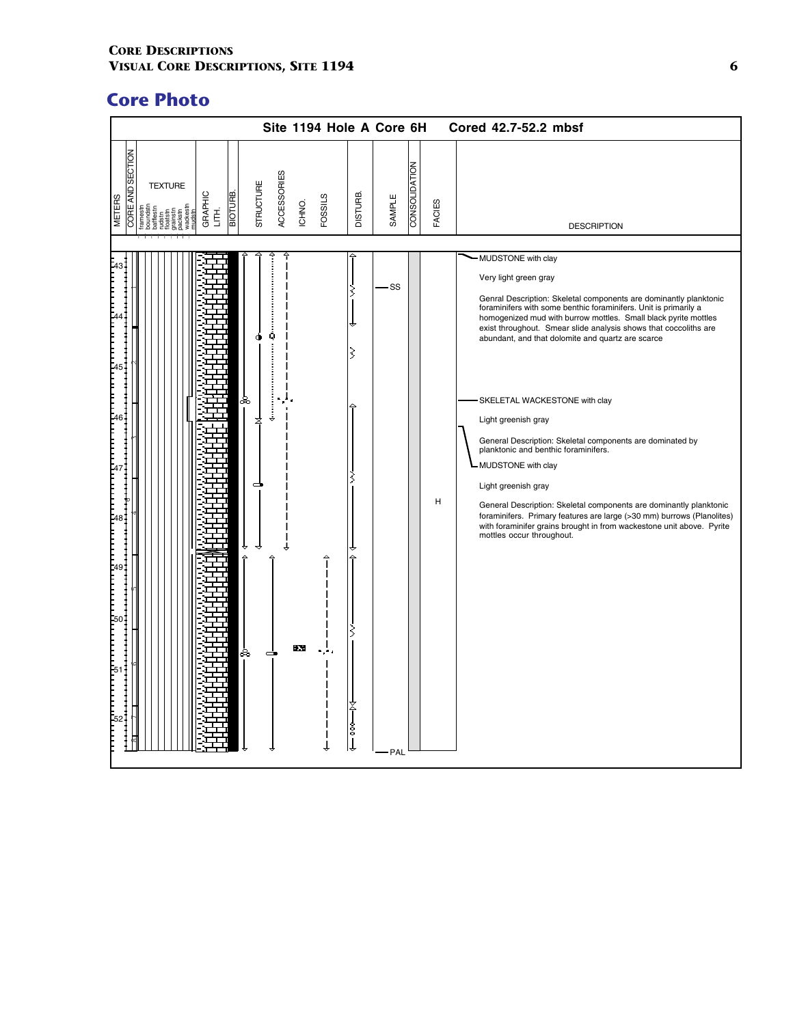| SECTION<br>CONSOLIDATION<br>ACCESSORIES<br>STRUCTURE<br><b>TEXTURE</b><br><b>RE AND</b><br>BIOTURB.<br>DISTURB.<br>GRAPHIC<br>LITH.<br><b>FOSSILS</b><br>SAMPLE<br><b>METERS</b><br>ICHNO.<br>FACIES<br>rainstr<br>ackstrn<br>8<br><b>DESCRIPTION</b><br>MUDSTONE with clay<br>Very light green gray<br>SS<br>Genral Description: Skeletal components are dominantly planktonic<br>foraminifers with some benthic foraminifers. Unit is primarily a<br>homogenized mud with burrow mottles. Small black pyrite mottles<br>exist throughout. Smear slide analysis shows that coccoliths are<br>Q<br>abundant, and that dolomite and quartz are scarce<br>〻<br>ஃ<br>SKELETAL WACKESTONE with clay<br>☆<br>Light greenish gray<br>General Description: Skeletal components are dominated by<br>planktonic and benthic foraminifers.<br>- MUDSTONE with clay<br>Light greenish gray<br>н<br>General Description: Skeletal components are dominantly planktonic<br>foraminifers. Primary features are large (>30 mm) burrows (Planolites)<br>with foraminifer grains brought in from wackestone unit above. Pyrite<br>mottles occur throughout.<br>÷Х.<br>ಹಿ<br>s<br>↓<br>PAL |  |  |  |  | Site 1194 Hole A Core 6H |  | Cored 42.7-52.2 mbsf |
|--------------------------------------------------------------------------------------------------------------------------------------------------------------------------------------------------------------------------------------------------------------------------------------------------------------------------------------------------------------------------------------------------------------------------------------------------------------------------------------------------------------------------------------------------------------------------------------------------------------------------------------------------------------------------------------------------------------------------------------------------------------------------------------------------------------------------------------------------------------------------------------------------------------------------------------------------------------------------------------------------------------------------------------------------------------------------------------------------------------------------------------------------------------------------|--|--|--|--|--------------------------|--|----------------------|
|                                                                                                                                                                                                                                                                                                                                                                                                                                                                                                                                                                                                                                                                                                                                                                                                                                                                                                                                                                                                                                                                                                                                                                          |  |  |  |  |                          |  |                      |
|                                                                                                                                                                                                                                                                                                                                                                                                                                                                                                                                                                                                                                                                                                                                                                                                                                                                                                                                                                                                                                                                                                                                                                          |  |  |  |  |                          |  |                      |
|                                                                                                                                                                                                                                                                                                                                                                                                                                                                                                                                                                                                                                                                                                                                                                                                                                                                                                                                                                                                                                                                                                                                                                          |  |  |  |  |                          |  |                      |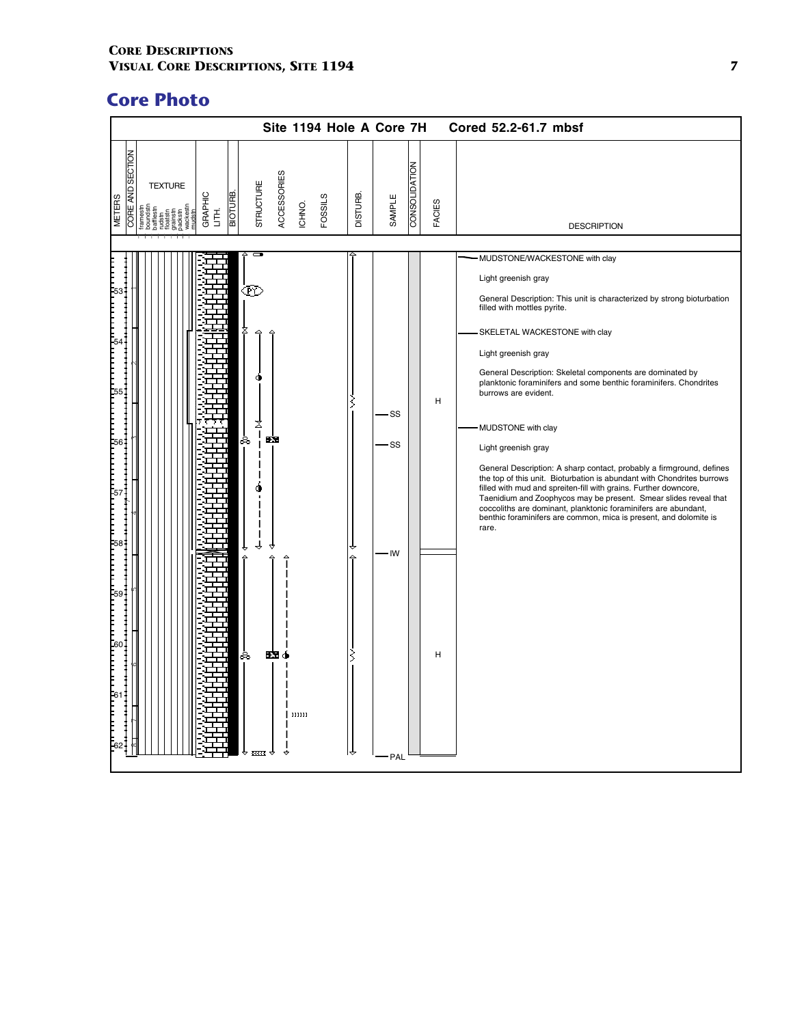|                                                                                                                                                       | Site 1194 Hole A Core 7H                                      |                 |                                |               | Cored 52.2-61.7 mbsf                                                                                                                                                                                                                                                                                                                                                                                                                                                                                                                                                                                                                                                                                                                                                                                                                                                   |
|-------------------------------------------------------------------------------------------------------------------------------------------------------|---------------------------------------------------------------|-----------------|--------------------------------|---------------|------------------------------------------------------------------------------------------------------------------------------------------------------------------------------------------------------------------------------------------------------------------------------------------------------------------------------------------------------------------------------------------------------------------------------------------------------------------------------------------------------------------------------------------------------------------------------------------------------------------------------------------------------------------------------------------------------------------------------------------------------------------------------------------------------------------------------------------------------------------------|
| <b>SECTION</b><br><b>TEXTURE</b><br><b>AND</b><br><b>BIOTURE</b><br>GRAPHIC<br><b>METERS</b><br>grainstn<br>packstn<br>wackesti<br>mudstn<br>舌<br>COR | ACCESSORIES<br>STRUCTURE<br><b>FOSSILS</b><br>ICHNO.          | <b>DISTURB.</b> | <b>CONSOLIDATION</b><br>SAMPLE | <b>FACIES</b> | <b>DESCRIPTION</b>                                                                                                                                                                                                                                                                                                                                                                                                                                                                                                                                                                                                                                                                                                                                                                                                                                                     |
|                                                                                                                                                       | ŒΥ<br>✕<br>EX.<br>ಹಿ<br>$\mathbf{z}$<br>ಹಿ<br>נננננ<br>स्टस्ट | 〻               | ·SS<br>SS-<br>- IW<br>PAL      | н<br>н        | MUDSTONE/WACKESTONE with clay<br>Light greenish gray<br>General Description: This unit is characterized by strong bioturbation<br>filled with mottles pyrite.<br>SKELETAL WACKESTONE with clay<br>Light greenish gray<br>General Description: Skeletal components are dominated by<br>planktonic foraminifers and some benthic foraminifers. Chondrites<br>burrows are evident.<br>MUDSTONE with clay<br>Light greenish gray<br>General Description: A sharp contact, probably a firmground, defines<br>the top of this unit. Bioturbation is abundant with Chondrites burrows<br>filled with mud and spreiten-fill with grains. Further downcore,<br>Taenidium and Zoophycos may be present. Smear slides reveal that<br>coccoliths are dominant, planktonic foraminifers are abundant,<br>benthic foraminifers are common, mica is present, and dolomite is<br>rare. |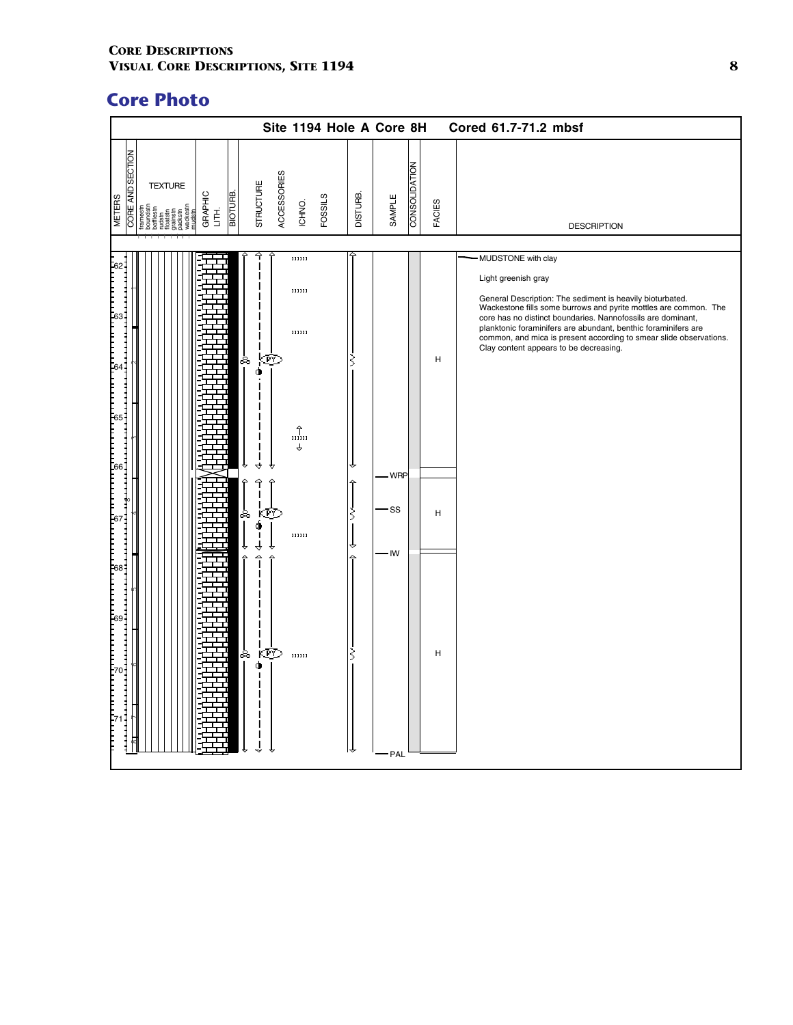|                                          |                                                                                                  |                                    |               |             |                                                          |                |                 | Site 1194 Hole A Core 8H |               |        | Cored 61.7-71.2 mbsf                                                                                                                                                                                                                                                                                                                                                                                                        |
|------------------------------------------|--------------------------------------------------------------------------------------------------|------------------------------------|---------------|-------------|----------------------------------------------------------|----------------|-----------------|--------------------------|---------------|--------|-----------------------------------------------------------------------------------------------------------------------------------------------------------------------------------------------------------------------------------------------------------------------------------------------------------------------------------------------------------------------------------------------------------------------------|
| <b>CORE AND SECTION</b><br><b>METERS</b> | <b>TEXTURE</b><br>boundstn<br>bafflestn<br>bafflestn<br>rudstn<br>rudstn<br>weckestn<br>weckestn | <b>BIOTURE</b><br>GRAPHIC<br>LITH. | STRUCTURE     | ACCESSORIES | ICHNO.                                                   | <b>FOSSILS</b> | <b>DISTURB.</b> | SAMPLE                   | CONSOLIDATION | FACIES | <b>DESCRIPTION</b>                                                                                                                                                                                                                                                                                                                                                                                                          |
|                                          |                                                                                                  |                                    |               |             |                                                          |                |                 |                          |               |        |                                                                                                                                                                                                                                                                                                                                                                                                                             |
|                                          |                                                                                                  |                                    | ஃ<br>Ф<br>↔   | kœ          | נננננ<br>נננננ<br>נננננ<br>$\hat{\mathbf{u}}$ נננננ<br>♦ |                | ξ               |                          |               | H      | MUDSTONE with clay<br>Light greenish gray<br>General Description: The sediment is heavily bioturbated.<br>Wackestone fills some burrows and pyrite mottles are common. The<br>core has no distinct boundaries. Nannofossils are dominant,<br>planktonic foraminifers are abundant, benthic foraminifers are<br>common, and mica is present according to smear slide observations.<br>Clay content appears to be decreasing. |
|                                          |                                                                                                  |                                    |               |             |                                                          |                |                 | - WRP                    |               |        |                                                                                                                                                                                                                                                                                                                                                                                                                             |
|                                          |                                                                                                  |                                    | శిం<br>۰      | ICP O       | ננננננ                                                   |                | ξ               | SS-                      |               | н      |                                                                                                                                                                                                                                                                                                                                                                                                                             |
|                                          |                                                                                                  |                                    | △<br>శిం<br>Φ | <b>i</b>    | ננננננ                                                   |                |                 | - IW<br>PAL              |               | H      |                                                                                                                                                                                                                                                                                                                                                                                                                             |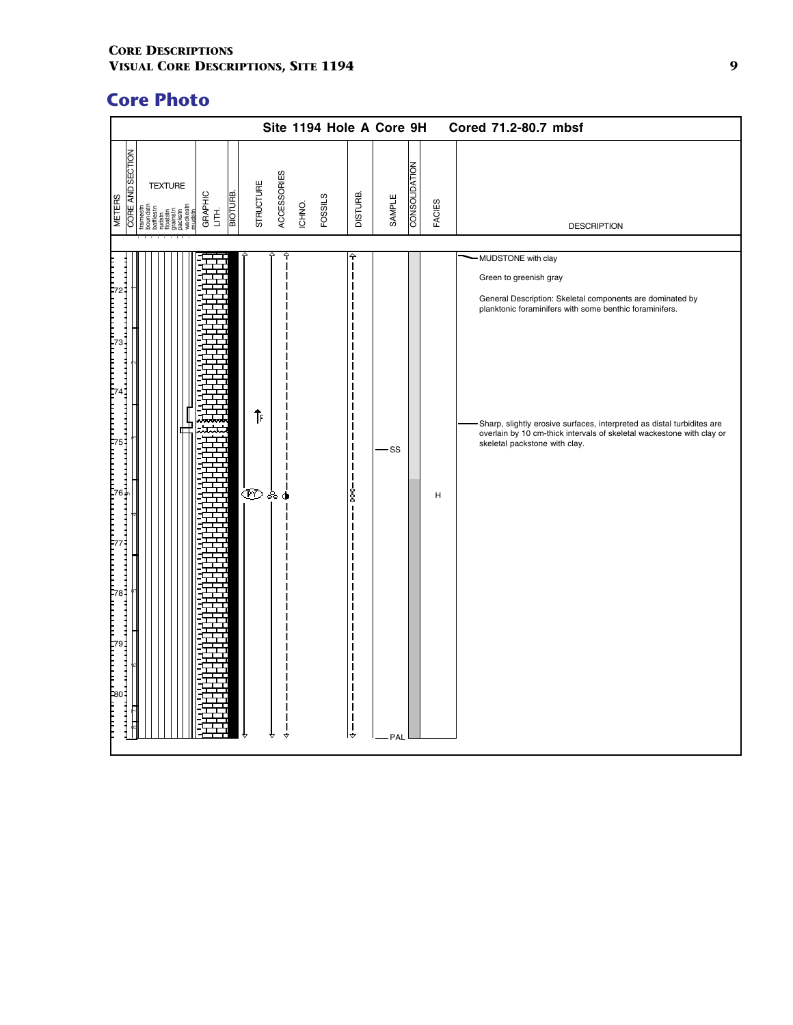| <b>CORE AND SECTION</b><br>CONSOLIDATION<br>ACCESSORIES<br>STRUCTURE<br><b>TEXTURE</b><br><b>BIOTURE</b><br>GRAPHIC<br>LITH.<br><b>DISTURB.</b><br><b>FOSSILS</b><br>SAMPLE<br><b>METERS</b><br>FACIES<br>ICHNO.<br>floatsin<br>grainstn<br>packstn<br>wackestr<br>mudstn<br><b>DESCRIPTION</b><br>≙<br>- MUDSTONE with clay<br>Green to greenish gray<br>General Description: Skeletal components are dominated by<br>planktonic foraminifers with some benthic foraminifers.<br>⇑<br>skeletal packstone with clay.<br>- SS<br>෩෧෧<br>ŝ<br>н |  |  | Site 1194 Hole A Core 9H |  |  | Cored 71.2-80.7 mbsf                                                                                                                            |
|-----------------------------------------------------------------------------------------------------------------------------------------------------------------------------------------------------------------------------------------------------------------------------------------------------------------------------------------------------------------------------------------------------------------------------------------------------------------------------------------------------------------------------------------------|--|--|--------------------------|--|--|-------------------------------------------------------------------------------------------------------------------------------------------------|
|                                                                                                                                                                                                                                                                                                                                                                                                                                                                                                                                               |  |  |                          |  |  |                                                                                                                                                 |
|                                                                                                                                                                                                                                                                                                                                                                                                                                                                                                                                               |  |  |                          |  |  |                                                                                                                                                 |
| ∣舟<br>₹<br>PAL                                                                                                                                                                                                                                                                                                                                                                                                                                                                                                                                |  |  |                          |  |  | Sharp, slightly erosive surfaces, interpreted as distal turbidites are<br>overlain by 10 cm-thick intervals of skeletal wackestone with clay or |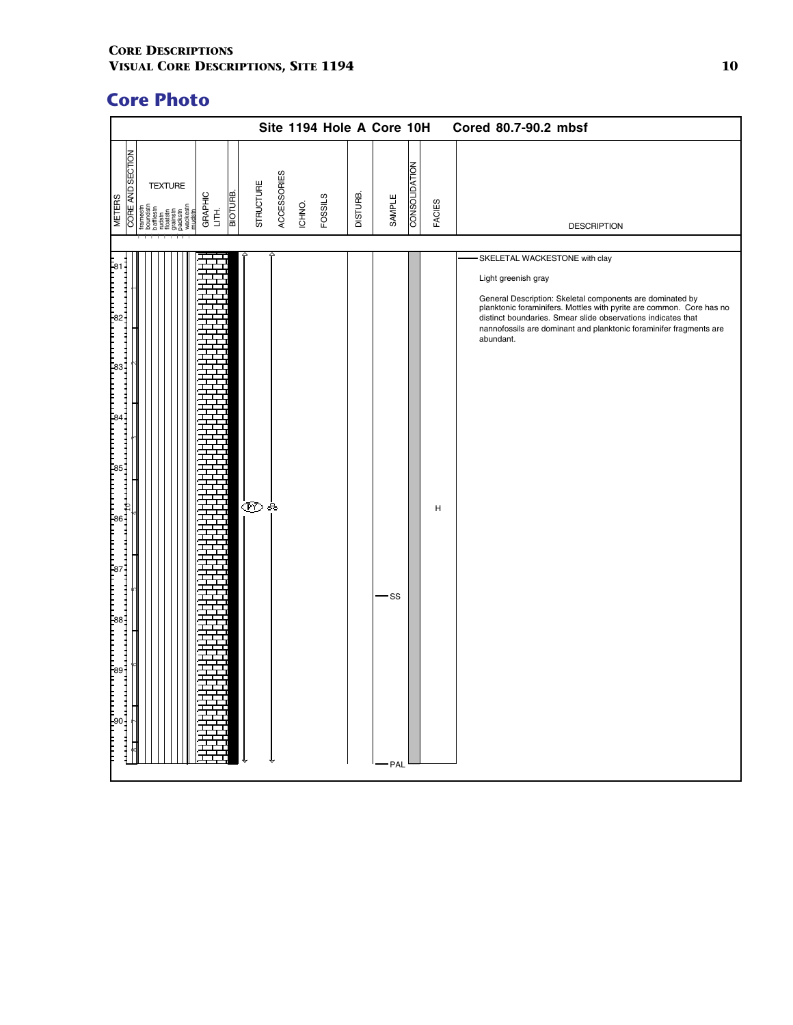|                                                                                                                                                                                                        | Site 1194 Hole A Core 10H                                   |                                                      | Cored 80.7-90.2 mbsf                                                                                                                                                                                                                                                                                                                         |
|--------------------------------------------------------------------------------------------------------------------------------------------------------------------------------------------------------|-------------------------------------------------------------|------------------------------------------------------|----------------------------------------------------------------------------------------------------------------------------------------------------------------------------------------------------------------------------------------------------------------------------------------------------------------------------------------------|
| <b>CORE AND SECTION</b><br><b>TEXTURE</b><br>BIOTURE.<br>GRAPHIC<br>LITH.<br><b>METERS</b><br>framestn<br>boundstn<br>bafflestn<br>bafflestn<br>rudstn<br>floakstn<br>grankstn<br>grankstn<br>wackestn | ACCESSORIES<br><b>STRUCTURE</b><br><b>FOSSILS</b><br>ICHNO. | <b>CONSOLIDATION</b><br>DISTURB.<br>SAMPLE<br>FACIES | <b>DESCRIPTION</b>                                                                                                                                                                                                                                                                                                                           |
|                                                                                                                                                                                                        | ෙෙෙ                                                         | H<br>-SS<br>- PAL                                    | SKELETAL WACKESTONE with clay<br>Light greenish gray<br>General Description: Skeletal components are dominated by<br>planktonic foraminifers. Mottles with pyrite are common. Core has no<br>distinct boundaries. Smear slide observations indicates that<br>nannofossils are dominant and planktonic foraminifer fragments are<br>abundant. |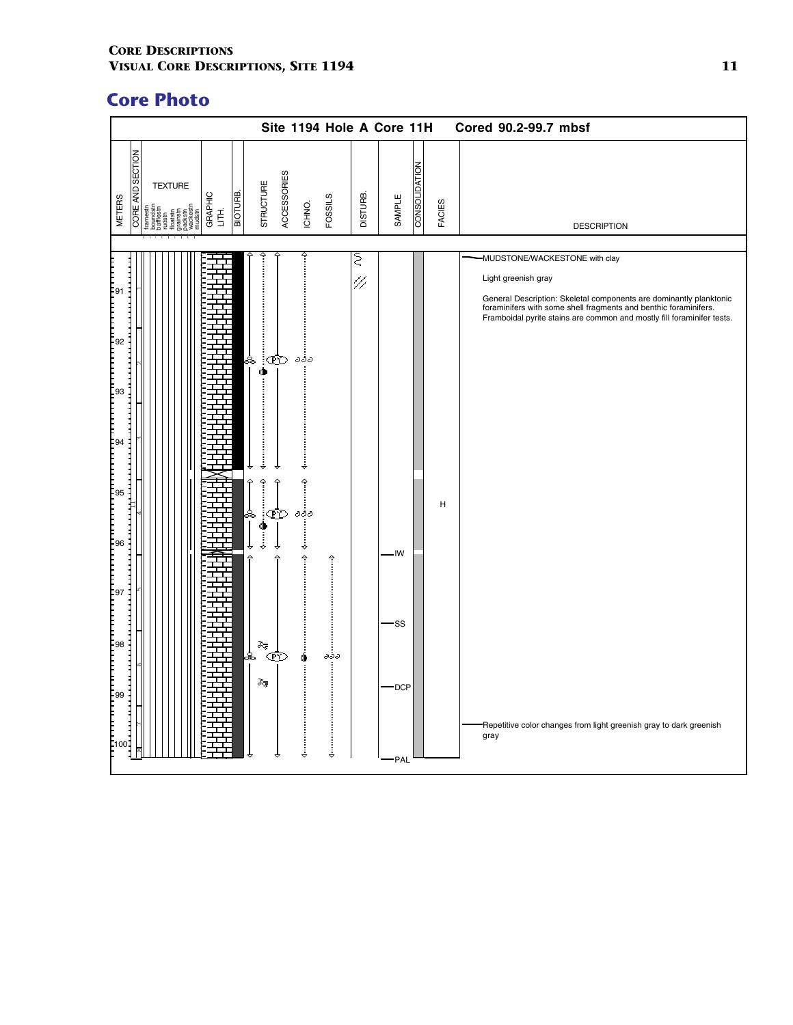|                                                                                                                                                                                                                                  | Site 1194 Hole A Core 11H                                                                                                                                                                                                                                                                                                                                                                                                                                                                                                |                                               | Cored 90.2-99.7 mbsf                                                                                                                                                                                                                                                                                                                                    |
|----------------------------------------------------------------------------------------------------------------------------------------------------------------------------------------------------------------------------------|--------------------------------------------------------------------------------------------------------------------------------------------------------------------------------------------------------------------------------------------------------------------------------------------------------------------------------------------------------------------------------------------------------------------------------------------------------------------------------------------------------------------------|-----------------------------------------------|---------------------------------------------------------------------------------------------------------------------------------------------------------------------------------------------------------------------------------------------------------------------------------------------------------------------------------------------------------|
| <b>CORE AND SECTION</b><br><b>TEXTURE</b><br>BIOTURE.<br>GRAPHIC<br>LITH.<br><b>METERS</b><br><b>Tramestn</b><br>Boundstn<br>Dafflestn<br>Ledstn<br>Clackstn<br>Spackestn<br>Spackestn<br>Spackestn<br>mudstn                    | <b>ACCESSORIES</b><br>STRUCTURE<br><b>FOSSILS</b><br>ICHNO.                                                                                                                                                                                                                                                                                                                                                                                                                                                              | CONSOLIDATION<br>DISTURB.<br>SAMPLE<br>FACIES | <b>DESCRIPTION</b>                                                                                                                                                                                                                                                                                                                                      |
|                                                                                                                                                                                                                                  |                                                                                                                                                                                                                                                                                                                                                                                                                                                                                                                          |                                               |                                                                                                                                                                                                                                                                                                                                                         |
| יינו הייתה הייתה הייתה הייתה הייתה הייתה הייתה הייתה הייתה הייתה הייתה הייתה הייתה הייתה הייתה הייתה הייתה היי<br>הייתה הייתה הייתה הייתה הייתה הייתה הייתה הייתה הייתה הייתה הייתה הייתה הייתה הייתה הייתה הייתה הייתה הייתה הי | ەۋە<br>∣∞<br>∙⊺<br>8<br>,,,,,,,,,,,,,,,,,,<br>$\begin{picture}(20,20) \put(0,0){\vector(1,0){100}} \put(15,0){\vector(1,0){100}} \put(15,0){\vector(1,0){100}} \put(15,0){\vector(1,0){100}} \put(15,0){\vector(1,0){100}} \put(15,0){\vector(1,0){100}} \put(15,0){\vector(1,0){100}} \put(15,0){\vector(1,0){100}} \put(15,0){\vector(1,0){100}} \put(15,0){\vector(1,0){100}} \put(15,0){\vector(1,0){100}} \$<br>$\hat{a}$<br>়ক্ট<br>ಹಿ<br>Ф<br>j<br>Î<br>Î<br>j<br>≽<br>Œ<br>s,<br>дðд<br>⋩<br>,,,,,,,,,,,,,,,,,,, | Ω<br>47<br>н<br>- IW<br>-SS<br>DCP<br>-PAL    | -MUDSTONE/WACKESTONE with clay<br>Light greenish gray<br>General Description: Skeletal components are dominantly planktonic<br>foraminifers with some shell fragments and benthic foraminifers.<br>Framboidal pyrite stains are common and mostly fill foraminifer tests.<br>Repetitive color changes from light greenish gray to dark greenish<br>gray |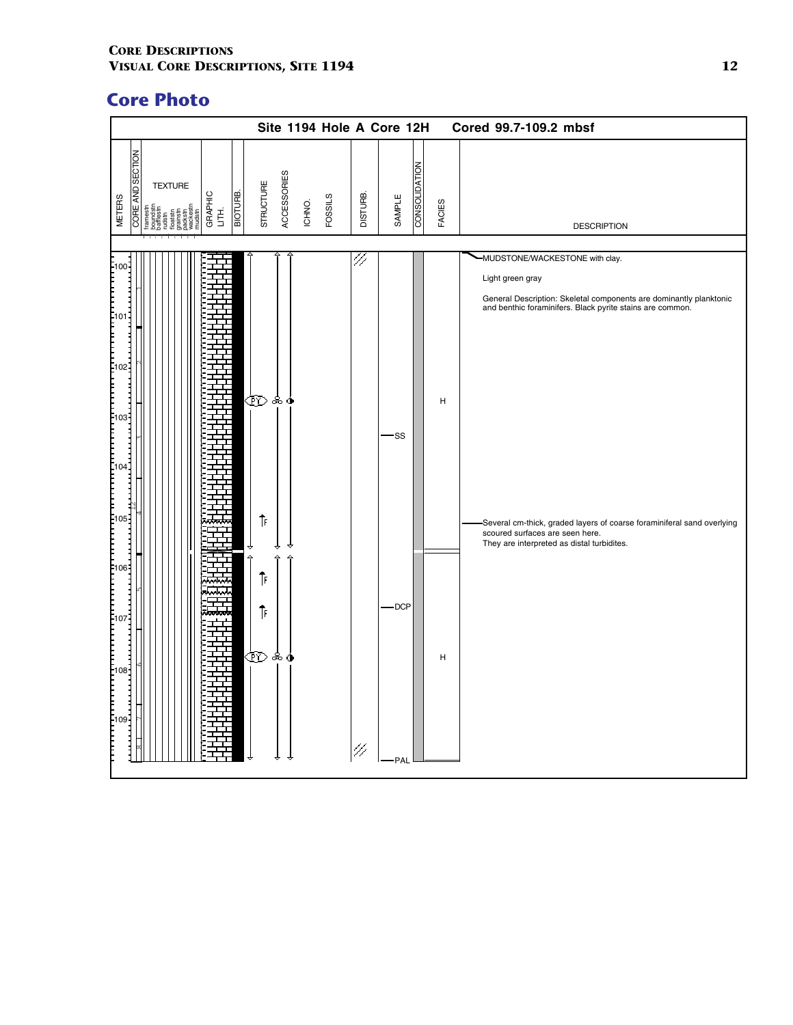|               |                                                                                                                                                            |         |                    |                    | Site 1194 Hole A Core 12H |          |                 |               |               |   | Cored 99.7-109.2 mbsf                                                                                                                                                                                                                                                                                |
|---------------|------------------------------------------------------------------------------------------------------------------------------------------------------------|---------|--------------------|--------------------|---------------------------|----------|-----------------|---------------|---------------|---|------------------------------------------------------------------------------------------------------------------------------------------------------------------------------------------------------------------------------------------------------------------------------------------------------|
| <b>METERS</b> | <b>CORE AND SECTION</b><br><b>TEXTURE</b><br>GRAPHIC<br>LITH.<br>framestn<br>boundstn<br>bafflestn<br>rudstn<br>floatstn<br>grainstn<br>packstn<br>wackest | ВІОТИВ. | STRUCTURE          | <b>ACCESSORIES</b> | <b>FOSSILS</b><br>ICHNO.  | DISTURB. | SAMPLE          | CONSOLIDATION | <b>FACIES</b> |   | <b>DESCRIPTION</b>                                                                                                                                                                                                                                                                                   |
|               |                                                                                                                                                            |         | ෩෧෧<br>⇑           |                    |                           | 47       | -SS             |               |               | н | -MUDSTONE/WACKESTONE with clay.<br>Light green gray<br>General Description: Skeletal components are dominantly planktonic<br>and benthic foraminifers. Black pyrite stains are common.<br>-Several cm-thick, graded layers of coarse foraminiferal sand overlying<br>scoured surfaces are seen here. |
|               |                                                                                                                                                            |         | △<br>⇑<br>⇑<br>෩ஃ≬ |                    |                           | 47       | $-$ DCP<br>-PAL |               |               | н | They are interpreted as distal turbidites.                                                                                                                                                                                                                                                           |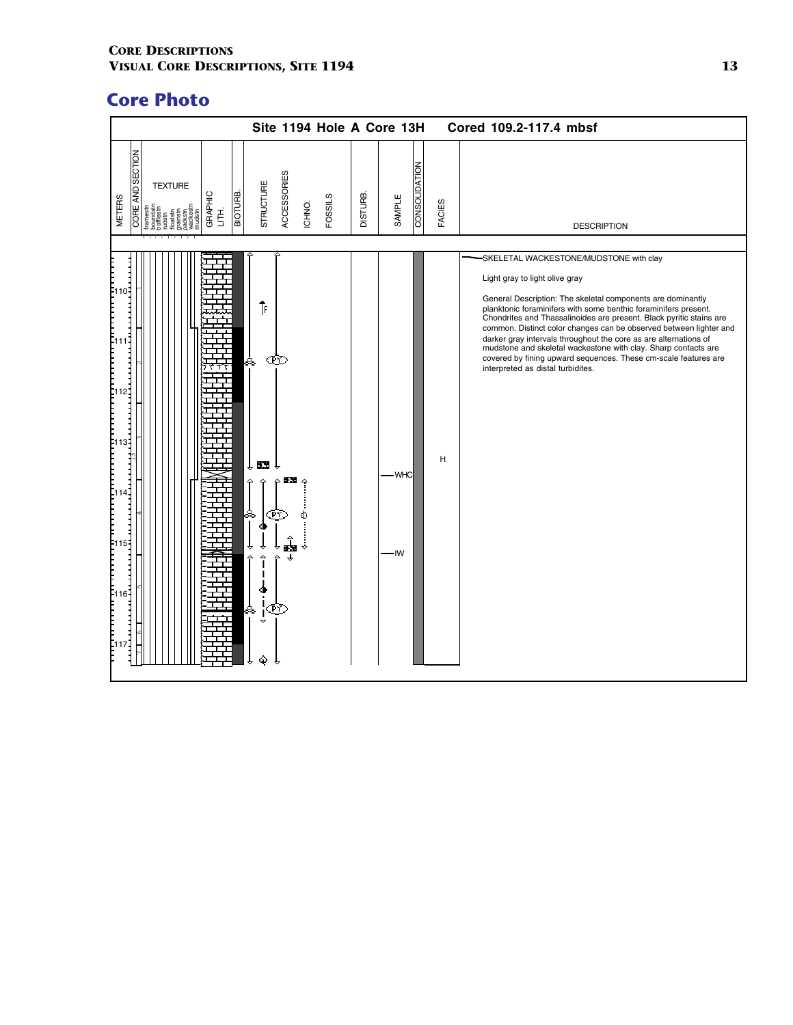|                                                                                                                                                                                                                                                                                                                                 | Site 1194 Hole A Core 13H                                                                                   |                                            |        | Cored 109.2-117.4 mbsf                                                                                                                                                                                                                                                                                                                                                                                                                                                                                                                                                                                |
|---------------------------------------------------------------------------------------------------------------------------------------------------------------------------------------------------------------------------------------------------------------------------------------------------------------------------------|-------------------------------------------------------------------------------------------------------------|--------------------------------------------|--------|-------------------------------------------------------------------------------------------------------------------------------------------------------------------------------------------------------------------------------------------------------------------------------------------------------------------------------------------------------------------------------------------------------------------------------------------------------------------------------------------------------------------------------------------------------------------------------------------------------|
| <b>CORE AND SECTION</b><br><b>TEXTURE</b><br>ВІОТИВ.<br>GRAPHIC<br>LITH.<br><b>METERS</b><br><b>Irame</b>                                                                                                                                                                                                                       | ACCESSORIES<br><b>STRUCTURE</b><br><b>FOSSILS</b><br>ICHNO.                                                 | <b>CONSOLIDATION</b><br>DISTURB.<br>SAMPLE | FACIES | <b>DESCRIPTION</b>                                                                                                                                                                                                                                                                                                                                                                                                                                                                                                                                                                                    |
| [110]<br> -<br> -<br> -<br> -<br>Ξ<br>F<br>F<br>F<br>F<br>F<br>12 <sup>1</sup><br>$\begin{bmatrix} 1 & 1 & 3 \\ 1 & 1 & 3 \\ 1 & 1 & 3 \\ 1 & 1 & 3 \end{bmatrix}$<br>E<br>F<br>F<br>$\frac{1}{4}$<br>$\begin{bmatrix} 115 \\ 1 \end{bmatrix}$<br>[116]<br>$\left[ \begin{smallmatrix} 1 & 1 \ 1 & 1 \end{smallmatrix} \right]$ | ⇑<br>Œ<br>ஃ<br>exe î<br>ьx.<br>ŒÝ<br>$\hat{\mathbf{r}}$<br>$\ddot{\phantom{a}}$<br>$\Delta$<br>jE<br>ஃ<br>Φ | - WHC<br>IW                                | н      | SKELETAL WACKESTONE/MUDSTONE with clay<br>Light gray to light olive gray<br>General Description: The skeletal components are dominantly<br>planktonic foraminifers with some benthic foraminifers present.<br>Chondrites and Thassalinoides are present. Black pyritic stains are<br>common. Distinct color changes can be observed between lighter and<br>darker gray intervals throughout the core as are alternations of<br>mudstone and skeletal wackestone with clay. Sharp contacts are<br>covered by fining upward sequences. These cm-scale features are<br>interpreted as distal turbidites. |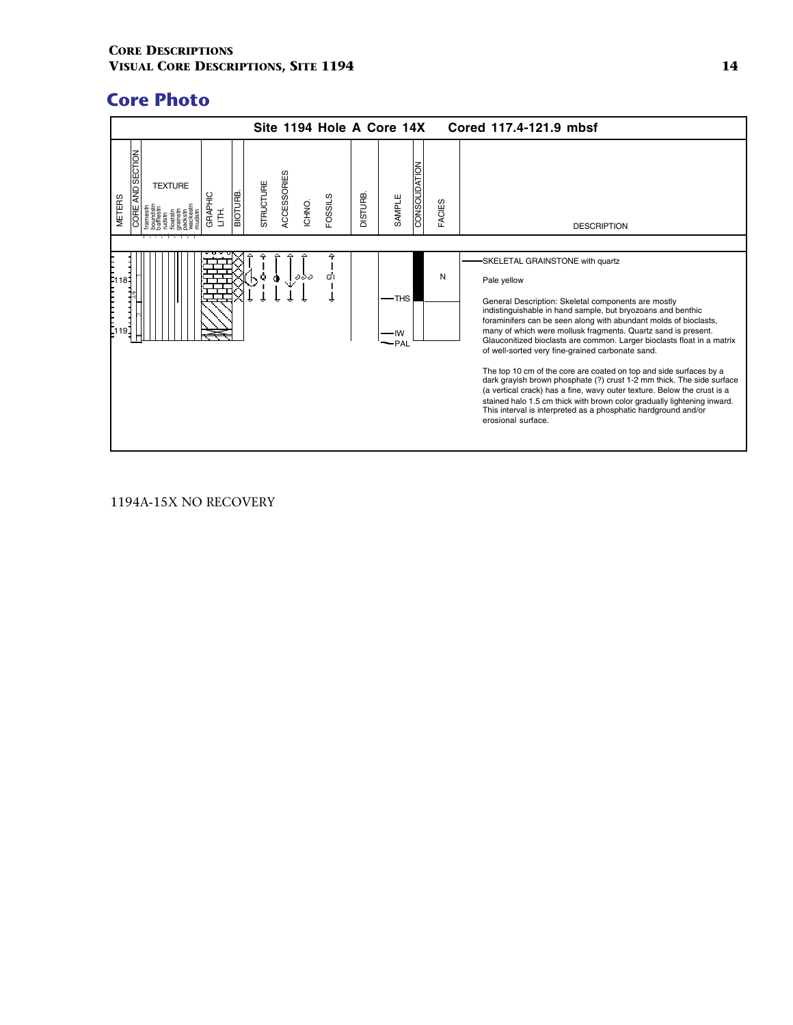

### 1194A-15X NO RECOVERY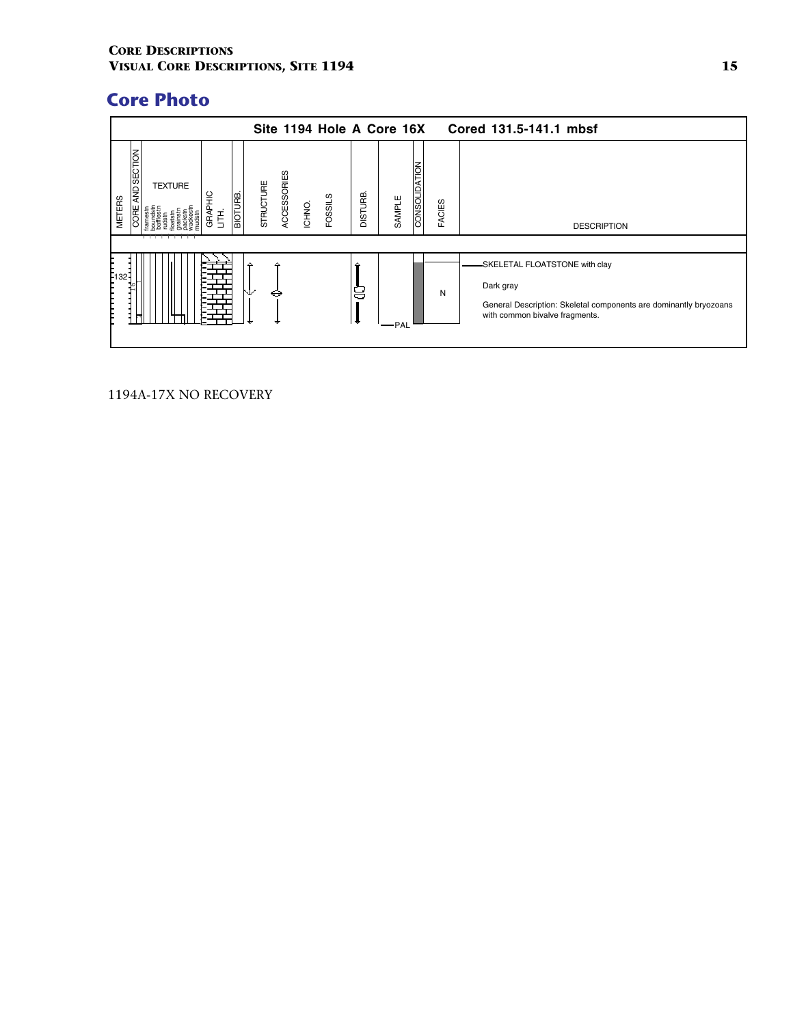|                                                               |                       |           |                       | Site 1194 Hole A Core 16X |         |        |               |               | Cored 131.5-141.1 mbsf                                                                                                                             |
|---------------------------------------------------------------|-----------------------|-----------|-----------------------|---------------------------|---------|--------|---------------|---------------|----------------------------------------------------------------------------------------------------------------------------------------------------|
| AND SECTION<br><b>TEXTURE</b><br><b>METERS</b><br><b>DORE</b> | BIOTURB.<br>GRAI<br>舌 | STRUCTURE | ACCESSORIES<br>ICHNO. | FOSSILS                   | DISTURB | SAMPLE | CONSOLIDATION | <b>FACIES</b> | <b>DESCRIPTION</b>                                                                                                                                 |
| E <sub>132</sub>                                              |                       | ⊖         |                       |                           | 8<br>∣+ | PAL    |               | N             | -SKELETAL FLOATSTONE with clay<br>Dark gray<br>General Description: Skeletal components are dominantly bryozoans<br>with common bivalve fragments. |

1194A-17X NO RECOVERY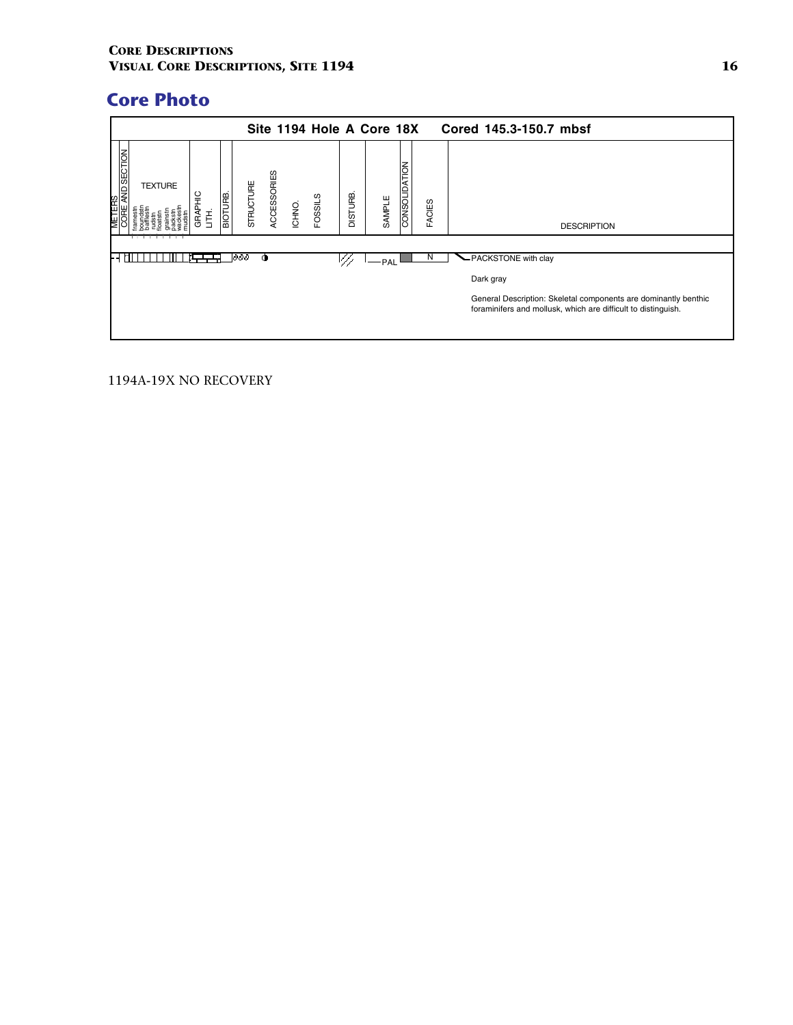|                                     |                |                |                |                  |             |        |                |                | Site 1194 Hole A Core 18X |                      |               | Cored 145.3-150.7 mbsf                                                                                                           |
|-------------------------------------|----------------|----------------|----------------|------------------|-------------|--------|----------------|----------------|---------------------------|----------------------|---------------|----------------------------------------------------------------------------------------------------------------------------------|
| TERS<br>RE AN <u>D SECTION</u><br>⊌ | <b>TEXTURE</b> | 읔<br>GRAI<br>Ē | <b>BIOTURB</b> | <b>STRUCTURE</b> | ACCESSORIES | ICHNO. | <b>FOSSILS</b> | <b>DISTURB</b> | SAMPLE                    | <b>CONSOLIDATION</b> | <b>FACIES</b> | <b>DESCRIPTION</b>                                                                                                               |
|                                     |                |                |                | 1000             |             |        |                | V//            | -PAL                      |                      | N             | -PACKSTONE with clay                                                                                                             |
|                                     |                |                |                |                  |             |        |                |                |                           |                      |               | Dark gray                                                                                                                        |
|                                     |                |                |                |                  |             |        |                |                |                           |                      |               | General Description: Skeletal components are dominantly benthic<br>foraminifers and mollusk, which are difficult to distinguish. |

1194A-19X NO RECOVERY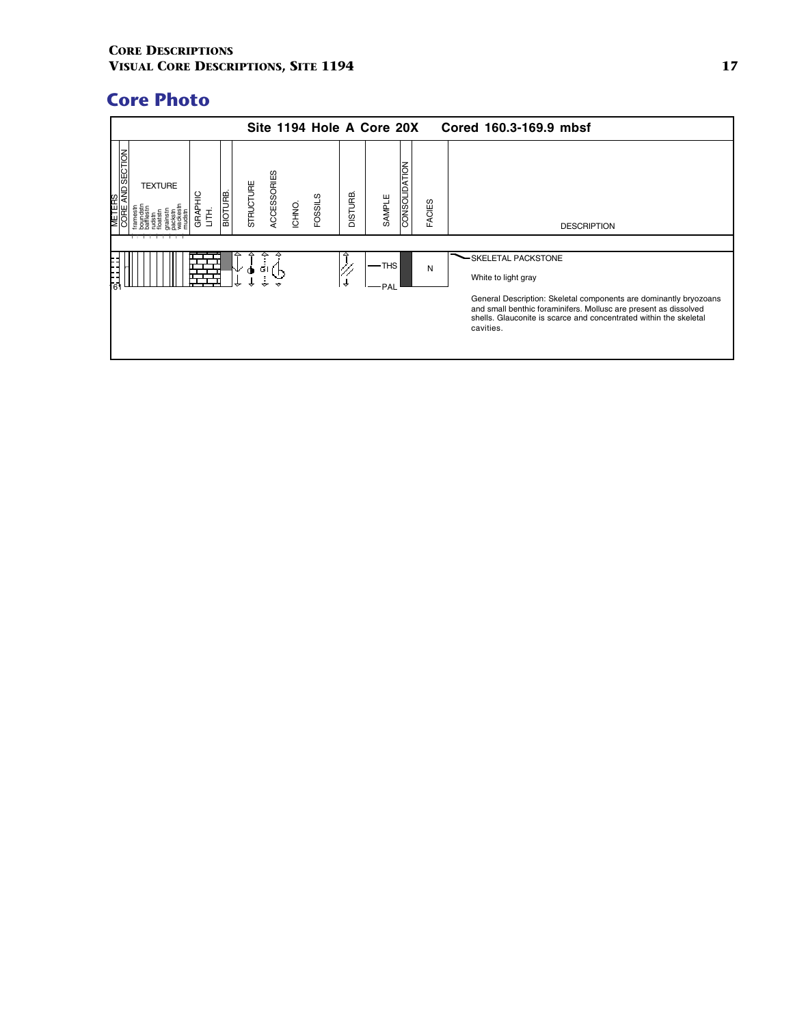|                                     |                                  |          |           |             |        |                |               | Site 1194 Hole A Core 20X |               |               | Cored 160.3-169.9 mbsf                                                                                                                                                                                                                                               |
|-------------------------------------|----------------------------------|----------|-----------|-------------|--------|----------------|---------------|---------------------------|---------------|---------------|----------------------------------------------------------------------------------------------------------------------------------------------------------------------------------------------------------------------------------------------------------------------|
| <b>AND SECTION</b><br><b>METERS</b> | <b>TEXTURE</b><br>GRAPHIC<br>HH. | BIOTURB. | STRUCTURE | ACCESSORIES | ICHNO. | <b>FOSSILS</b> | DISTURB       | SAMPLE                    | CONSOLIDATION | <b>FACIES</b> | <b>DESCRIPTION</b>                                                                                                                                                                                                                                                   |
| '61                                 |                                  |          | ⊻<br>◑    | -G I        |        |                | $\rightarrow$ | $-$ THS<br>· PAL          |               | N             | SKELETAL PACKSTONE<br>White to light gray<br>General Description: Skeletal components are dominantly bryozoans<br>and small benthic foraminifers. Mollusc are present as dissolved<br>shells. Glauconite is scarce and concentrated within the skeletal<br>cavities. |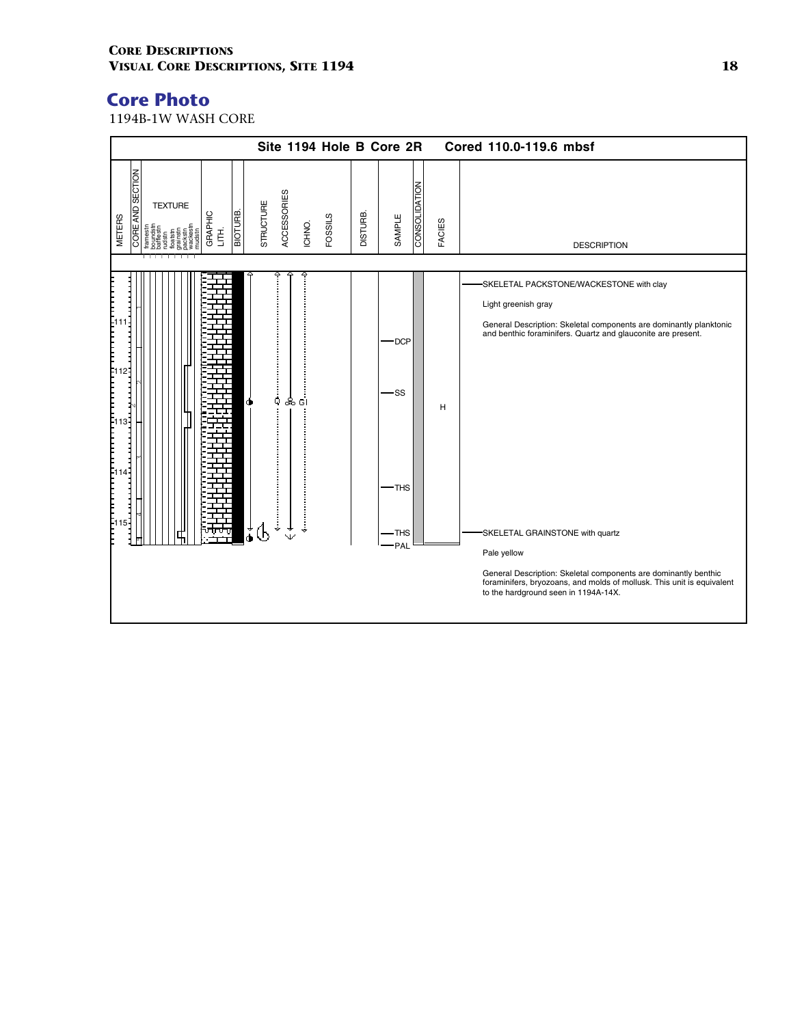1194B-1W WASH CORE

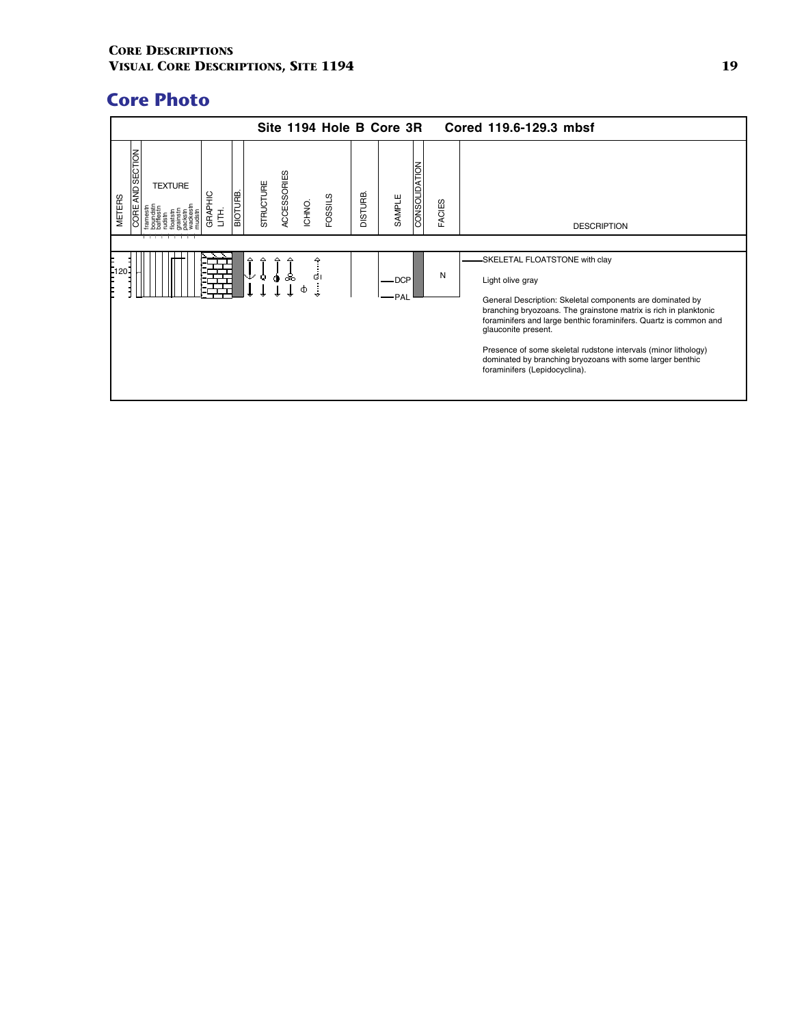|                                                                                                      | Site 1194 Hole B Core 3R                      |                                           | Cored 119.6-129.3 mbsf                                                                                                                                                                                                                                                                                                                                                                                                                               |
|------------------------------------------------------------------------------------------------------|-----------------------------------------------|-------------------------------------------|------------------------------------------------------------------------------------------------------------------------------------------------------------------------------------------------------------------------------------------------------------------------------------------------------------------------------------------------------------------------------------------------------------------------------------------------------|
| AND SECTION<br><b>TEXTURE</b><br><b>BIOTURE</b><br><b>GRAPHIC</b><br><b>METERS</b><br>CORE<br>舌<br>. | ACCESSORIES<br>STRUCTURE<br>FOSSILS<br>ICHNO. | CONSOLIDATION<br><b>BHUTSIC</b><br>SAMPLE | <b>FACIES</b><br><b>DESCRIPTION</b>                                                                                                                                                                                                                                                                                                                                                                                                                  |
| F120-<br>↓                                                                                           | △<br>△<br>$\mathbf Q$<br>ஃ<br>бI<br>۰<br>Ф    | DCP-<br>-PAL                              | -SKELETAL FLOATSTONE with clay<br>N<br>Light olive gray<br>General Description: Skeletal components are dominated by<br>branching bryozoans. The grainstone matrix is rich in planktonic<br>foraminifers and large benthic foraminifers. Quartz is common and<br>glauconite present.<br>Presence of some skeletal rudstone intervals (minor lithology)<br>dominated by branching bryozoans with some larger benthic<br>foraminifers (Lepidocyclina). |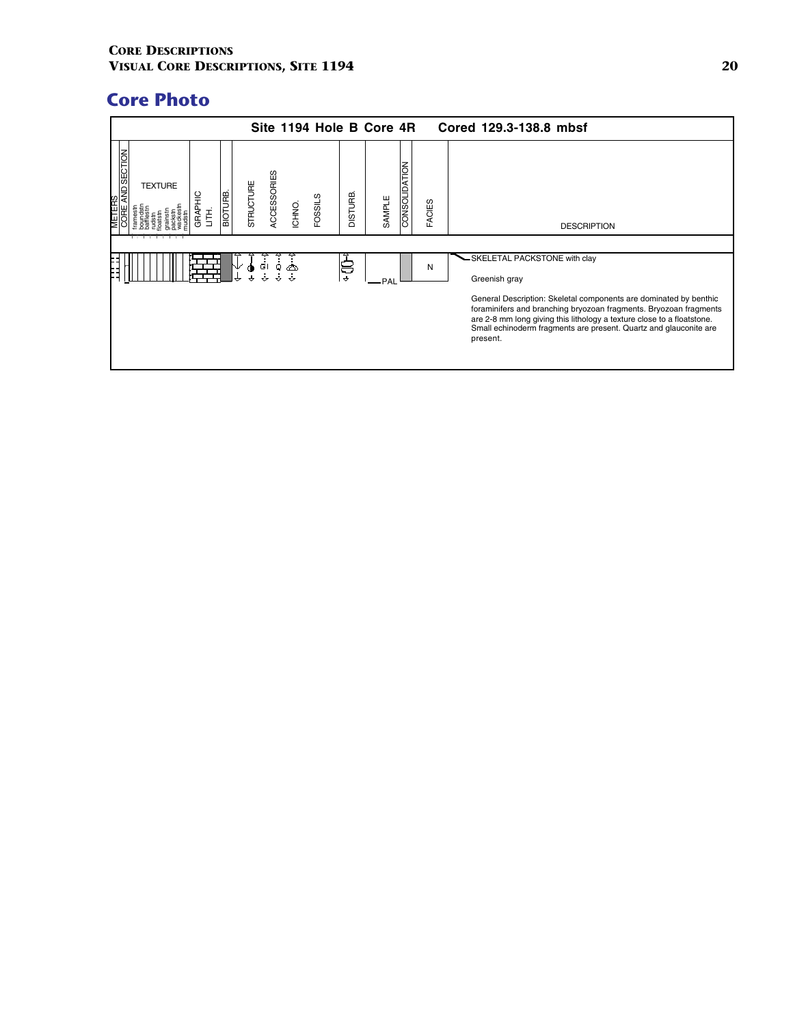|                                    |                |                 |                |           |             |        |         |                    | Site 1194 Hole B Core 4R |               |               | Cored 129.3-138.8 mbsf                                                                                                                                                                                                                                                                                                                              |
|------------------------------------|----------------|-----------------|----------------|-----------|-------------|--------|---------|--------------------|--------------------------|---------------|---------------|-----------------------------------------------------------------------------------------------------------------------------------------------------------------------------------------------------------------------------------------------------------------------------------------------------------------------------------------------------|
| <b>NO SECTION</b><br><b>METERS</b> | <b>TEXTURE</b> | 읖<br>GRAPI<br>喜 | <b>BIOTURE</b> | STRUCTURE | ACCESSORIES | ICHNO. | FOSSILS | DISTURB            | SAMPLE                   | CONSOLIDATION | <b>FACIES</b> | <b>DESCRIPTION</b>                                                                                                                                                                                                                                                                                                                                  |
|                                    |                |                 |                |           | G١          |        |         | ਫ<br>$\rightarrow$ | - PAL                    |               | N             | -SKELETAL PACKSTONE with clay<br>Greenish gray<br>General Description: Skeletal components are dominated by benthic<br>foraminifers and branching bryozoan fragments. Bryozoan fragments<br>are 2-8 mm long giving this lithology a texture close to a floatstone.<br>Small echinoderm fragments are present. Quartz and glauconite are<br>present. |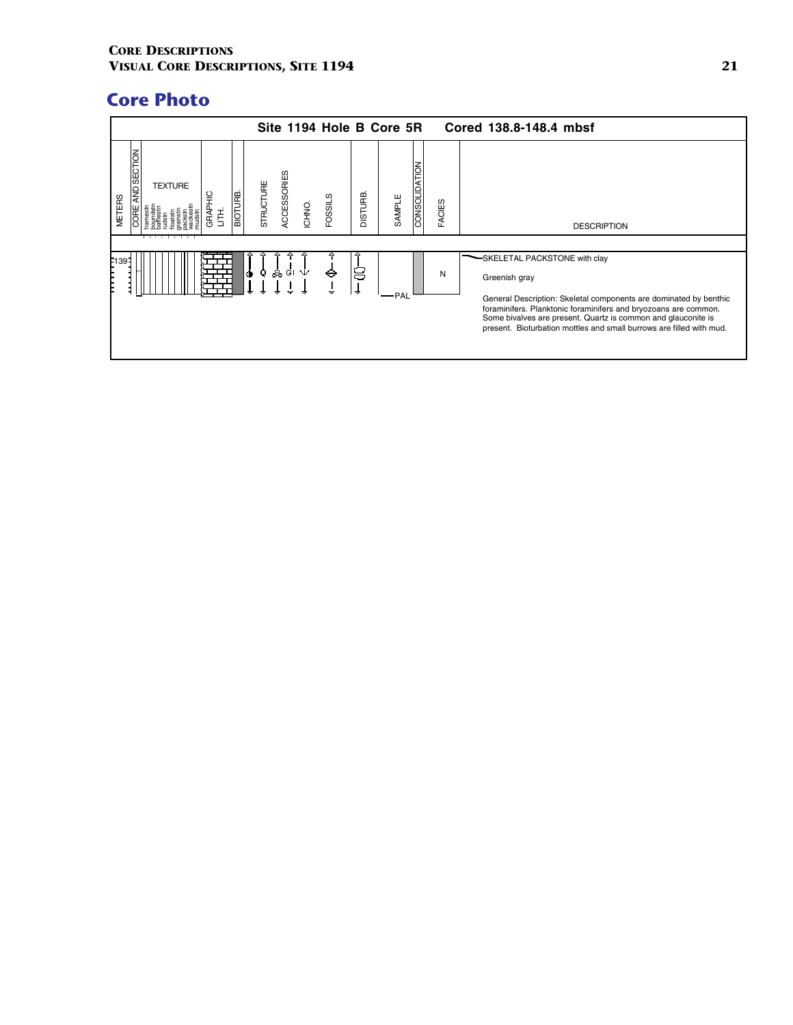|                                                                                                       | Site 1194 Hole B Core 5R                      |                                           | Cored 138.8-148.4 mbsf                                                                                                                                                                                                                                                                                                              |
|-------------------------------------------------------------------------------------------------------|-----------------------------------------------|-------------------------------------------|-------------------------------------------------------------------------------------------------------------------------------------------------------------------------------------------------------------------------------------------------------------------------------------------------------------------------------------|
| AND SECTION<br><b>TEXTURE</b><br><b>BIOTURE</b><br><b>GRAPHIC</b><br><b>METERS</b><br><b>BRC</b><br>喜 | ACCESSORIES<br>STRUCTURE<br>FOSSILS<br>ICHNO. | CONSOLIDATION<br><b>DISTURB</b><br>SAMPLE | FACIES<br><b>DESCRIPTION</b>                                                                                                                                                                                                                                                                                                        |
| F139-<br>ó                                                                                            | Q.<br>ஃபெ∨்<br>⊖<br>÷                         | 8<br>$\rightarrow$<br><b>PAL</b>          | SKELETAL PACKSTONE with clay<br>N<br>Greenish gray<br>General Description: Skeletal components are dominated by benthic<br>foraminifers. Planktonic foraminifers and bryozoans are common.<br>Some bivalves are present. Quartz is common and glauconite is<br>present. Bioturbation mottles and small burrows are filled with mud. |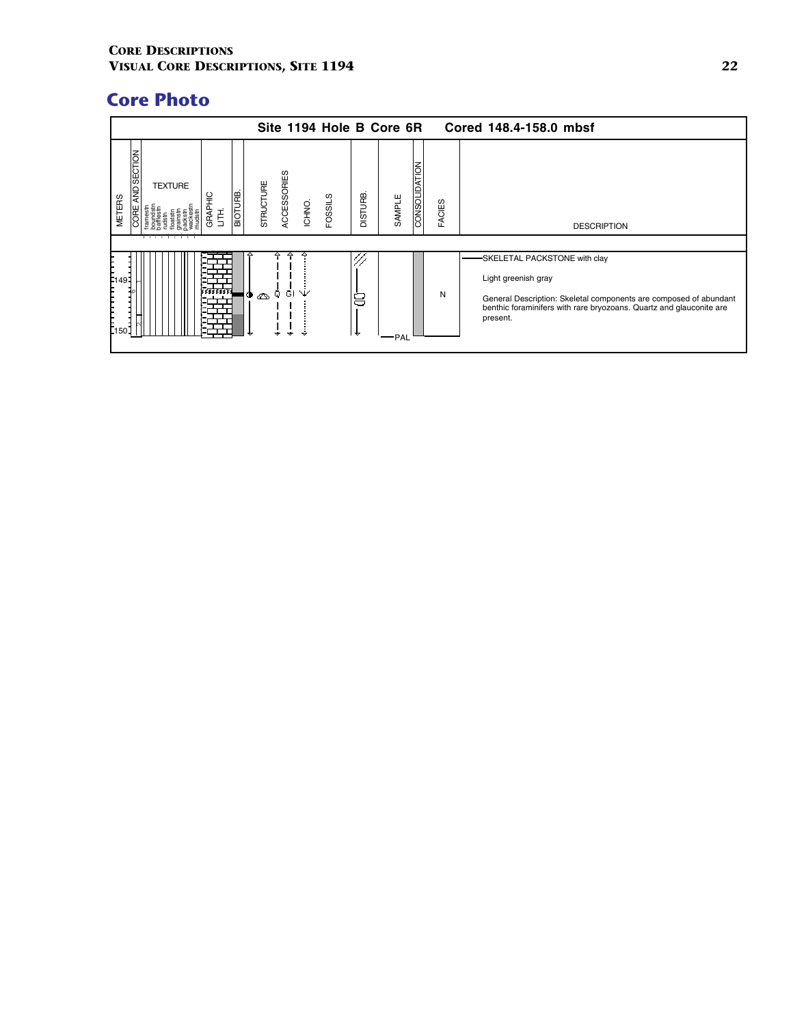|                                      |                                |                      |                                                   |                       | Site 1194 Hole B Core 6R |                |        |                      |        | Cored 148.4-158.0 mbsf                                                                                                                                                                                      |
|--------------------------------------|--------------------------------|----------------------|---------------------------------------------------|-----------------------|--------------------------|----------------|--------|----------------------|--------|-------------------------------------------------------------------------------------------------------------------------------------------------------------------------------------------------------------|
| AND SECTION<br><b>METERS</b><br>J¥   | <b>TEXTURE</b><br>GRAPHIC<br>喜 | $\overline{BIOTURB}$ | STRUCTURE                                         | ACCESSORIES<br>ICHNO. | <b>FOSSILS</b>           | <b>DISTURB</b> | SAMPLE | <b>CONSOLIDATION</b> | FACIES | <b>DESCRIPTION</b>                                                                                                                                                                                          |
| F <sub>149</sub><br>E <sub>150</sub> |                                |                      | $\circ \circledast \circ \circledast \circledast$ | Ŵ                     |                          | 8<br>₩         | ·PAL   |                      | N      | SKELETAL PACKSTONE with clay<br>Light greenish gray<br>General Description: Skeletal components are composed of abundant<br>benthic foraminifers with rare bryozoans. Quartz and glauconite are<br>present. |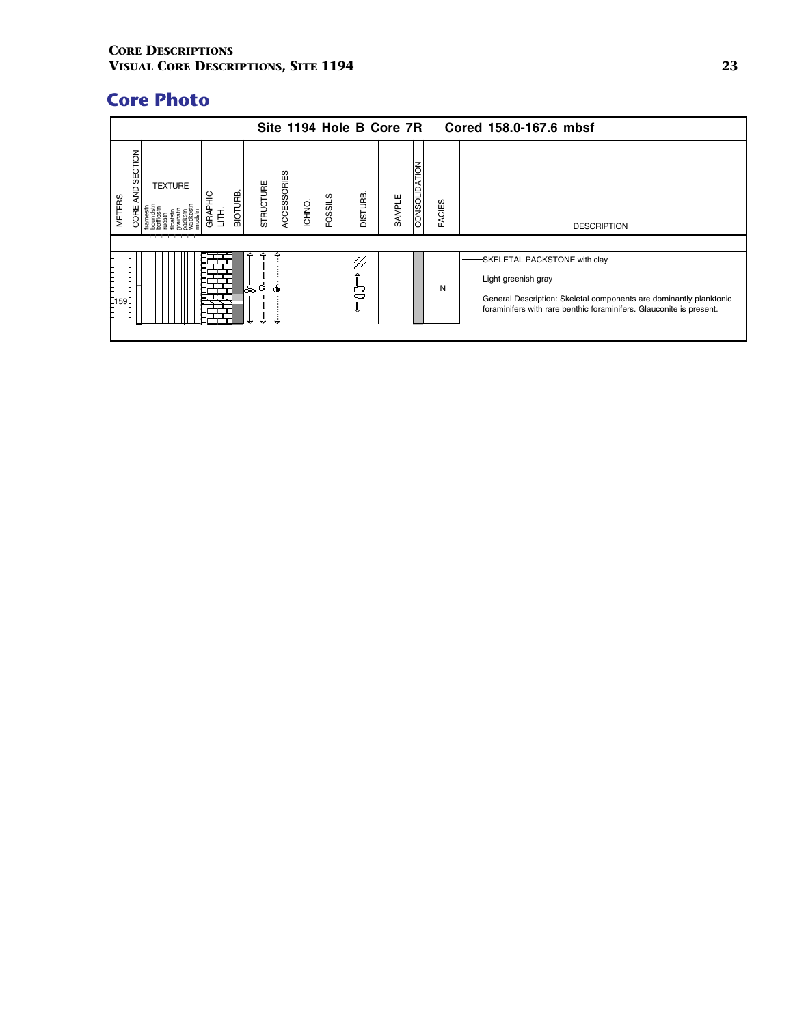|                                                                                                                       | Site 1194 Hole B Core 7R<br>Cored 158.0-167.6 mbsf   |                |                         |               |                                                                                                                                                                                                  |  |  |  |  |  |  |  |  |
|-----------------------------------------------------------------------------------------------------------------------|------------------------------------------------------|----------------|-------------------------|---------------|--------------------------------------------------------------------------------------------------------------------------------------------------------------------------------------------------|--|--|--|--|--|--|--|--|
| <b>AND SECTION</b><br><b>TEXTURE</b><br><b>BIOTURB</b><br><b>GRAPHIC</b><br><b>METERS</b><br><b>CORE</b><br>舌<br>┯┯┯┯ | ACCESSORIES<br>STRUCTURE<br><b>FOSSILS</b><br>ICHNO. | <b>DISTURB</b> | CONSOLIDATION<br>SAMPLE | <b>FACIES</b> | <b>DESCRIPTION</b>                                                                                                                                                                               |  |  |  |  |  |  |  |  |
| E <sub>159</sub>                                                                                                      | ▵<br>¶as ¤i a                                        | △<br>8<br>₩    |                         | N             | SKELETAL PACKSTONE with clay<br>Light greenish gray<br>General Description: Skeletal components are dominantly planktonic<br>foraminifers with rare benthic foraminifers. Glauconite is present. |  |  |  |  |  |  |  |  |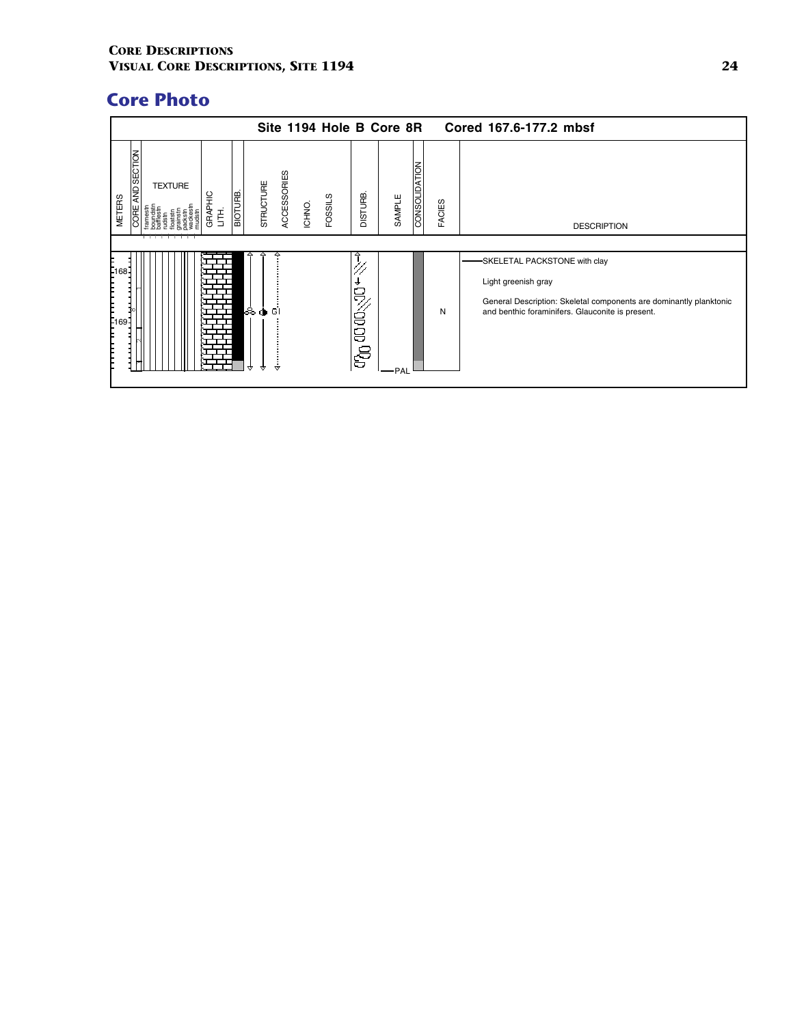|                                                                   |                |                               |          |           |             |        |                |                       | Site 1194 Hole B Core 8R |               |               | Cored 167.6-177.2 mbsf                                                                                                                                                        |
|-------------------------------------------------------------------|----------------|-------------------------------|----------|-----------|-------------|--------|----------------|-----------------------|--------------------------|---------------|---------------|-------------------------------------------------------------------------------------------------------------------------------------------------------------------------------|
| AND SECTION<br><b>METERS</b><br>CORE                              | <b>TEXTURE</b> | GRAPHIC<br>$\vec{\mathsf{E}}$ | BIOTURB. | STRUCTURE | ACCESSORIES | ICHNO. | <b>FOSSILS</b> | DISTURB               | SAMPLE                   | CONSOLIDATION | <b>FACIES</b> | <b>DESCRIPTION</b>                                                                                                                                                            |
| - 168<br>-<br>-<br>-<br><del>יייביי ייי</del><br>©<br>ייי ייי ייי |                |                               |          | க்⊕ெள்    |             |        |                | D<br>$50\%$<br>ි<br>ල | -PAL                     |               | N             | SKELETAL PACKSTONE with clay<br>Light greenish gray<br>General Description: Skeletal components are dominantly planktonic<br>and benthic foraminifers. Glauconite is present. |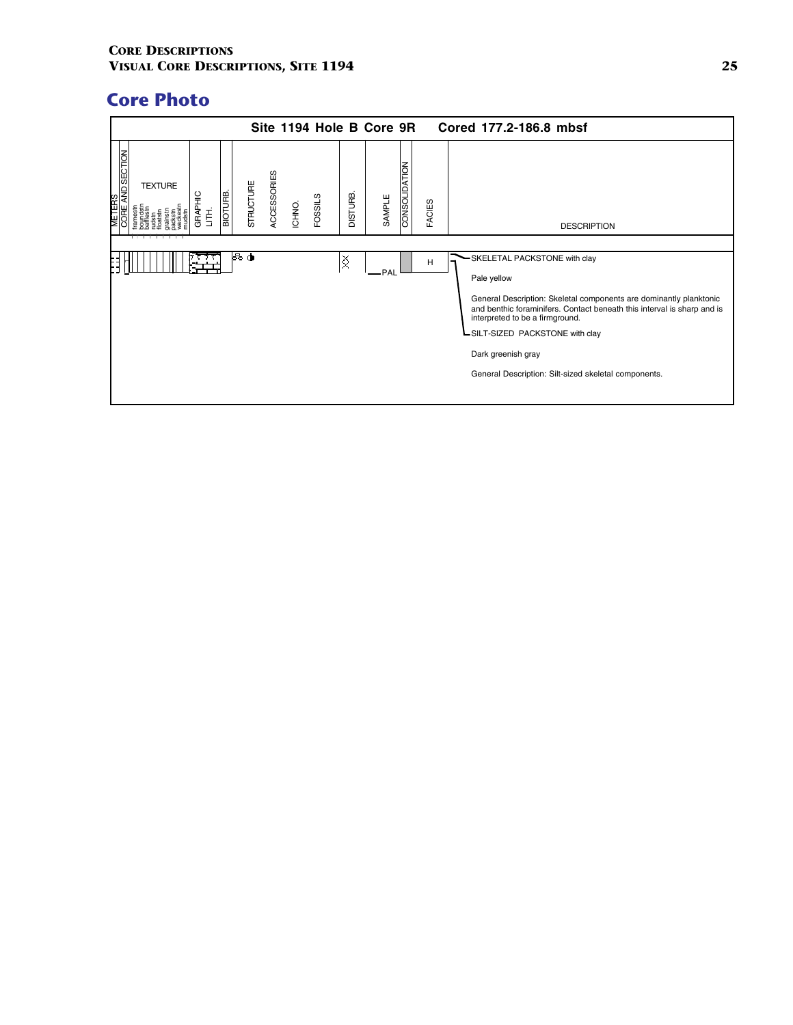|                                           |                |              |         |           |             |        |                |                | Site 1194 Hole B Core 9R |               |               | Cored 177.2-186.8 mbsf                                                                                                                                                                                                                                                                                                                           |
|-------------------------------------------|----------------|--------------|---------|-----------|-------------|--------|----------------|----------------|--------------------------|---------------|---------------|--------------------------------------------------------------------------------------------------------------------------------------------------------------------------------------------------------------------------------------------------------------------------------------------------------------------------------------------------|
| <b>METERS</b><br>CORE AN <u>D SECTION</u> | <b>TEXTURE</b> | GRAPHIC<br>舌 | BIOTURB | STRUCTURE | ACCESSORIES | ICHNO. | <b>FOSSILS</b> | <b>BHUTSIO</b> | SAMPLE                   | CONSOLIDATION | <b>FACIES</b> | <b>DESCRIPTION</b>                                                                                                                                                                                                                                                                                                                               |
|                                           |                |              |         |           |             |        |                |                |                          |               |               |                                                                                                                                                                                                                                                                                                                                                  |
|                                           |                |              |         | l& oN     |             |        |                | ≬              | -PAL                     |               | H             | SKELETAL PACKSTONE with clay<br>Pale yellow<br>General Description: Skeletal components are dominantly planktonic<br>and benthic foraminifers. Contact beneath this interval is sharp and is<br>interpreted to be a firmground.<br>-SILT-SIZED PACKSTONE with clay<br>Dark greenish gray<br>General Description: Silt-sized skeletal components. |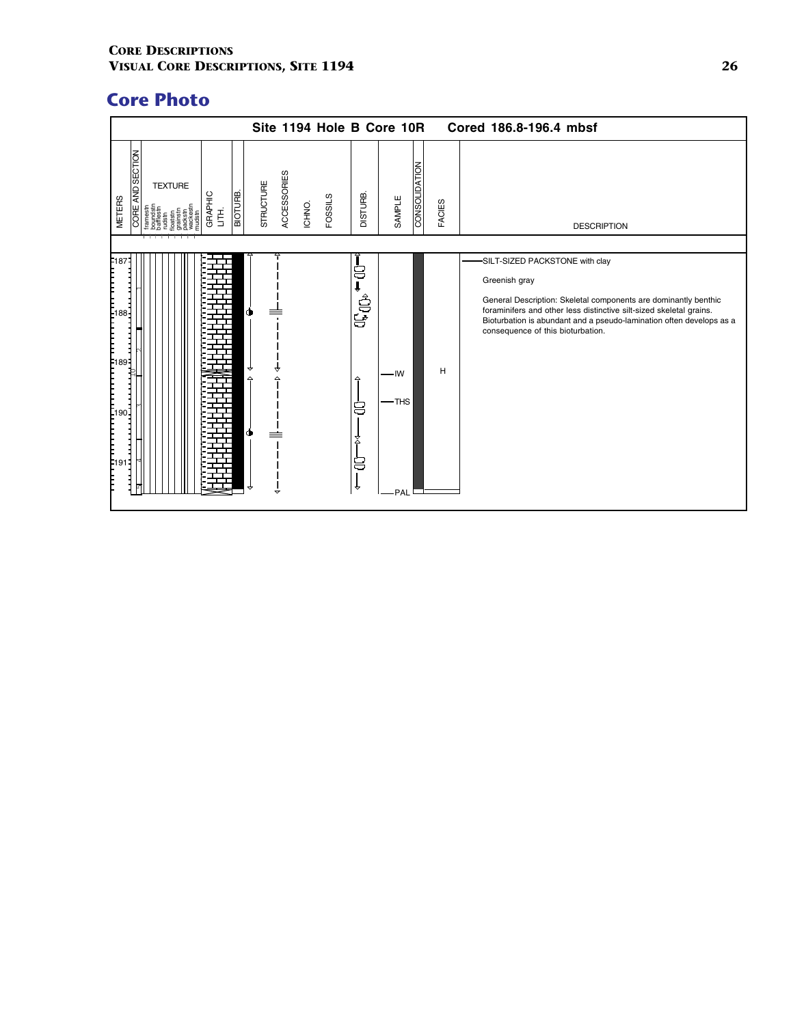|                                                                                                        |                              | Site 1194 Hole B Core 10R                      |                                               |                     |                      |               | Cored 186.8-196.4 mbsf                                                                                                                                                                                                                                                                                  |
|--------------------------------------------------------------------------------------------------------|------------------------------|------------------------------------------------|-----------------------------------------------|---------------------|----------------------|---------------|---------------------------------------------------------------------------------------------------------------------------------------------------------------------------------------------------------------------------------------------------------------------------------------------------------|
| AND SECTION<br><b>TEXTURE</b><br>GRAPHIC<br><b>METERS</b><br><b>CORE</b><br>$\vec{\mathsf{E}}$<br>udst | <b>STRUCTURE</b><br>BIOTURE. | <b>ACCESSORIES</b><br><b>FOSSILS</b><br>ICHNO. | <b>DISTURB.</b>                               | SAMPLE              | <b>CONSOLIDATION</b> | <b>FACIES</b> | <b>DESCRIPTION</b>                                                                                                                                                                                                                                                                                      |
| F18<br>88-<br>89-                                                                                      | ↔                            |                                                | 8<br>ag <sub>o</sub><br>△<br>8<br>۷<br>8<br>₩ | -IW<br>-THS<br>-PAL |                      | H             | -SILT-SIZED PACKSTONE with clay<br>Greenish gray<br>General Description: Skeletal components are dominantly benthic<br>foraminifers and other less distinctive silt-sized skeletal grains.<br>Bioturbation is abundant and a pseudo-lamination often develops as a<br>consequence of this bioturbation. |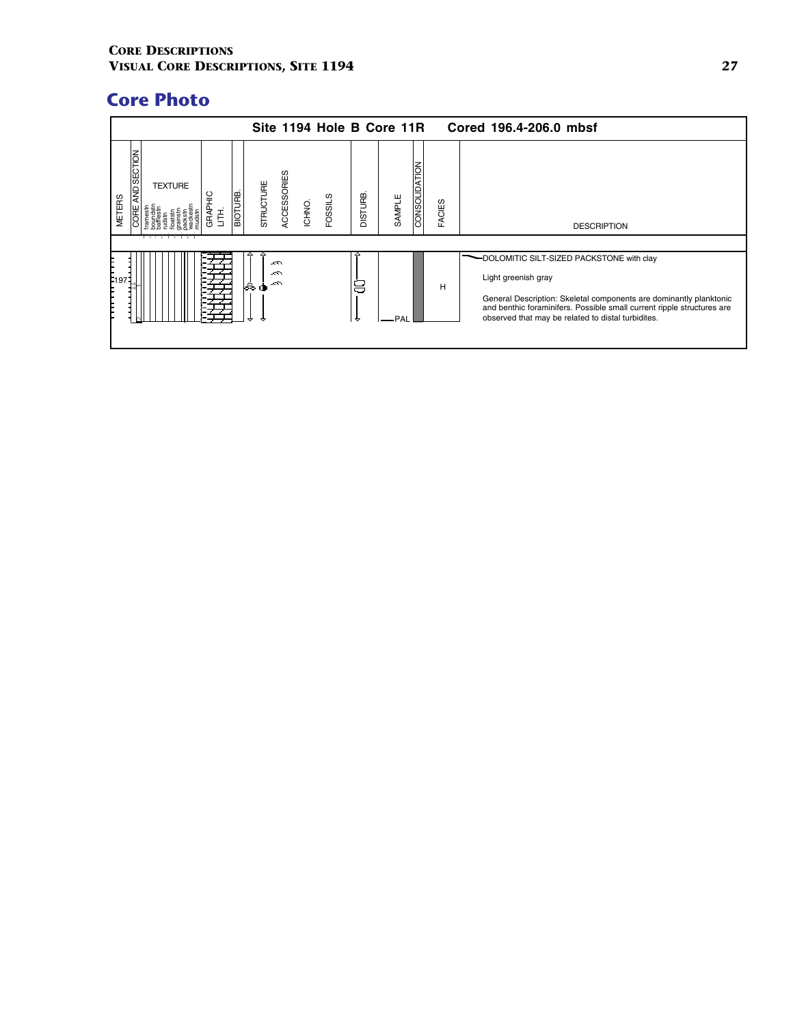|                                                                                                   | Site 1194 Hole B Core 11R                                   |                          |                         | Cored 196.4-206.0 mbsf                                                                                                                                                                                                                                                 |
|---------------------------------------------------------------------------------------------------|-------------------------------------------------------------|--------------------------|-------------------------|------------------------------------------------------------------------------------------------------------------------------------------------------------------------------------------------------------------------------------------------------------------------|
| <b>AND SECTION</b><br><b>TEXTURE</b><br>BIOTURB<br>읖<br><b>METERS</b><br>GRAPI<br><b>GRE</b><br>Ĕ | <b>ACCESSORIES</b><br>STRUCTURE<br><b>FOSSILS</b><br>ICHNO. | <b>DISTURB</b><br>SAMPLE | CONSOLIDATION<br>FACIES | <b>DESCRIPTION</b>                                                                                                                                                                                                                                                     |
| F <sub>197</sub>                                                                                  | △<br>$\sim$<br>ベ<br>ఉ<br>$\sim$<br>Φ                        | 8<br>PAI<br>₩            | н                       | -DOLOMITIC SILT-SIZED PACKSTONE with clay<br>Light greenish gray<br>General Description: Skeletal components are dominantly planktonic<br>and benthic foraminifers. Possible small current ripple structures are<br>observed that may be related to distal turbidites. |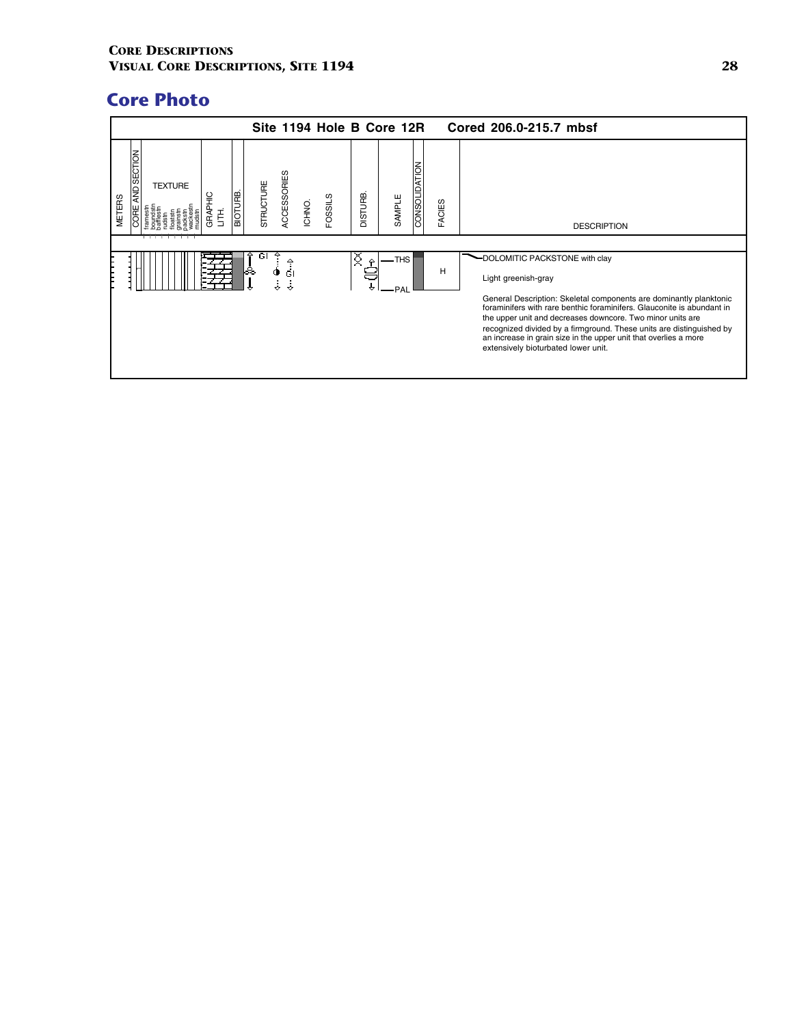|                                             |                |                         |         |                  |               |        | Site 1194 Hole B Core 12R |                         |              |                      |        | Cored 206.0-215.7 mbsf                                                                                                                                                                                                                                                                                                                                                                                                                                 |
|---------------------------------------------|----------------|-------------------------|---------|------------------|---------------|--------|---------------------------|-------------------------|--------------|----------------------|--------|--------------------------------------------------------------------------------------------------------------------------------------------------------------------------------------------------------------------------------------------------------------------------------------------------------------------------------------------------------------------------------------------------------------------------------------------------------|
| AND SECTION<br><b>METERS</b><br><b>CORE</b> | <b>TEXTURE</b> | <b>GRAPHIC</b><br>LITH. | BIOTURB | <b>STRUCTURE</b> | ACCESSORIES   | ICHNO. | <b>FOSSILS</b>            | <b>DISTURB</b>          | SAMPLE       | <b>CONSOLIDATION</b> | FACIES | <b>DESCRIPTION</b>                                                                                                                                                                                                                                                                                                                                                                                                                                     |
|                                             |                |                         |         | GI<br>ᆶ          | Ф<br>бI<br>j. |        |                           | Q<br>$\hat{\mathbf{r}}$ | -THS<br>.PAI |                      | Н      | -DOLOMITIC PACKSTONE with clay<br>Light greenish-gray<br>General Description: Skeletal components are dominantly planktonic<br>foraminifers with rare benthic foraminifers. Glauconite is abundant in<br>the upper unit and decreases downcore. Two minor units are<br>recognized divided by a firmground. These units are distinguished by<br>an increase in grain size in the upper unit that overlies a more<br>extensively bioturbated lower unit. |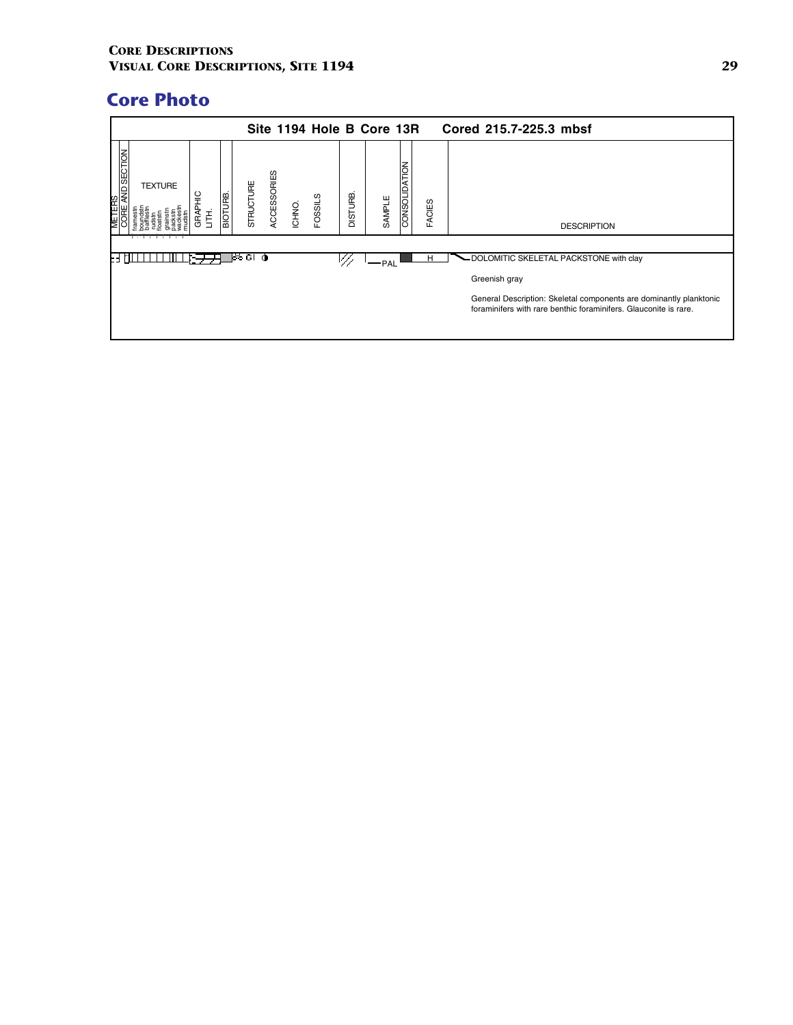|                                |                |                                                |         |              |                    |        |              |                | Site 1194 Hole B Core 13R |                                 |               | Cored 215.7-225.3 mbsf                                                                                                                                  |
|--------------------------------|----------------|------------------------------------------------|---------|--------------|--------------------|--------|--------------|----------------|---------------------------|---------------------------------|---------------|---------------------------------------------------------------------------------------------------------------------------------------------------------|
| AND SECTION<br><b>ERS</b><br>₩ | <b>TEXTURE</b> | $\frac{\mathcal{Q}}{\mathcal{T}}$<br>GRAI<br>Ē | BIOTURB | STRUCTURE    | <b>ACCESSORIES</b> | ICHNO. | ၯ<br>FOSSIL! | <b>DISTURB</b> | SAMPLE                    | <b>NOIT</b><br><b>CONSOLIDA</b> | <b>FACIES</b> | <b>DESCRIPTION</b>                                                                                                                                      |
|                                |                |                                                |         | ∿ Gi<br>loo. |                    |        |              |                | $-$ PAL                   |                                 | н             | - DOLOMITIC SKELETAL PACKSTONE with clay                                                                                                                |
|                                |                |                                                |         |              |                    |        |              |                |                           |                                 |               | Greenish gray<br>General Description: Skeletal components are dominantly planktonic<br>foraminifers with rare benthic foraminifers. Glauconite is rare. |
|                                |                |                                                |         |              |                    |        |              |                |                           |                                 |               |                                                                                                                                                         |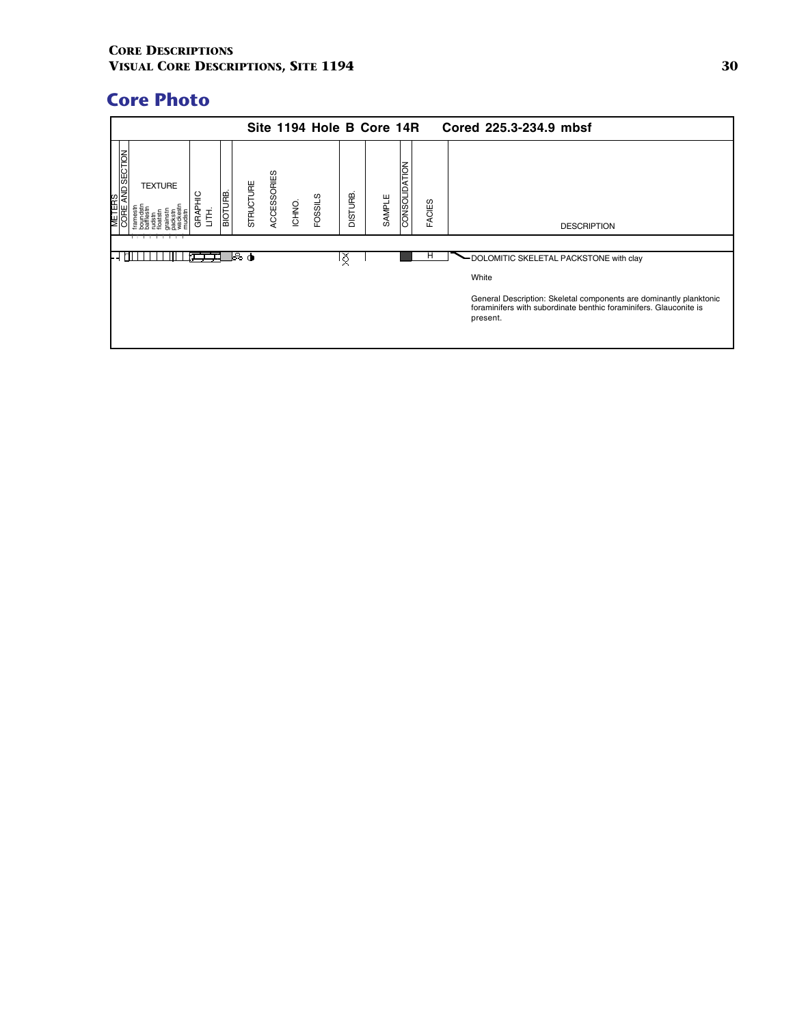|                                |                |                 |                 |           |             |        |         |                | Site 1194 Hole B Core 14R |               |               | Cored 225.3-234.9 mbsf                                                                                                                              |
|--------------------------------|----------------|-----------------|-----------------|-----------|-------------|--------|---------|----------------|---------------------------|---------------|---------------|-----------------------------------------------------------------------------------------------------------------------------------------------------|
| <b>ND SECTION</b><br>TERS<br>⊯ | <b>TEXTURE</b> | 읔<br>GRAPI<br>Ë | <b>BIOTURE.</b> | STRUCTURE | ACCESSORIES | ICHNO. | FOSSILS | <b>DISTURB</b> | SAMPLE                    | CONSOLIDATION | <b>FACIES</b> | <b>DESCRIPTION</b>                                                                                                                                  |
|                                |                |                 |                 | Թծ (ծ     |             |        |         | ኝ              |                           |               | п             | - DOLOMITIC SKELETAL PACKSTONE with clay                                                                                                            |
|                                |                |                 |                 |           |             |        |         |                |                           |               |               | White                                                                                                                                               |
|                                |                |                 |                 |           |             |        |         |                |                           |               |               | General Description: Skeletal components are dominantly planktonic<br>foraminifers with subordinate benthic foraminifers. Glauconite is<br>present. |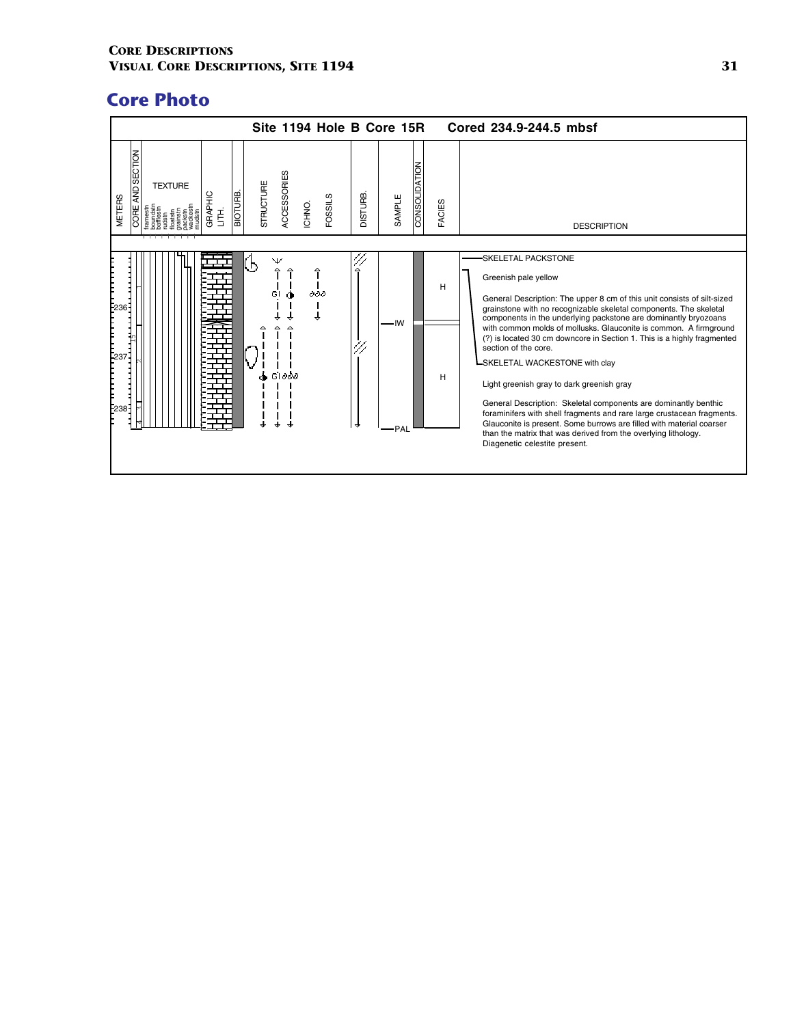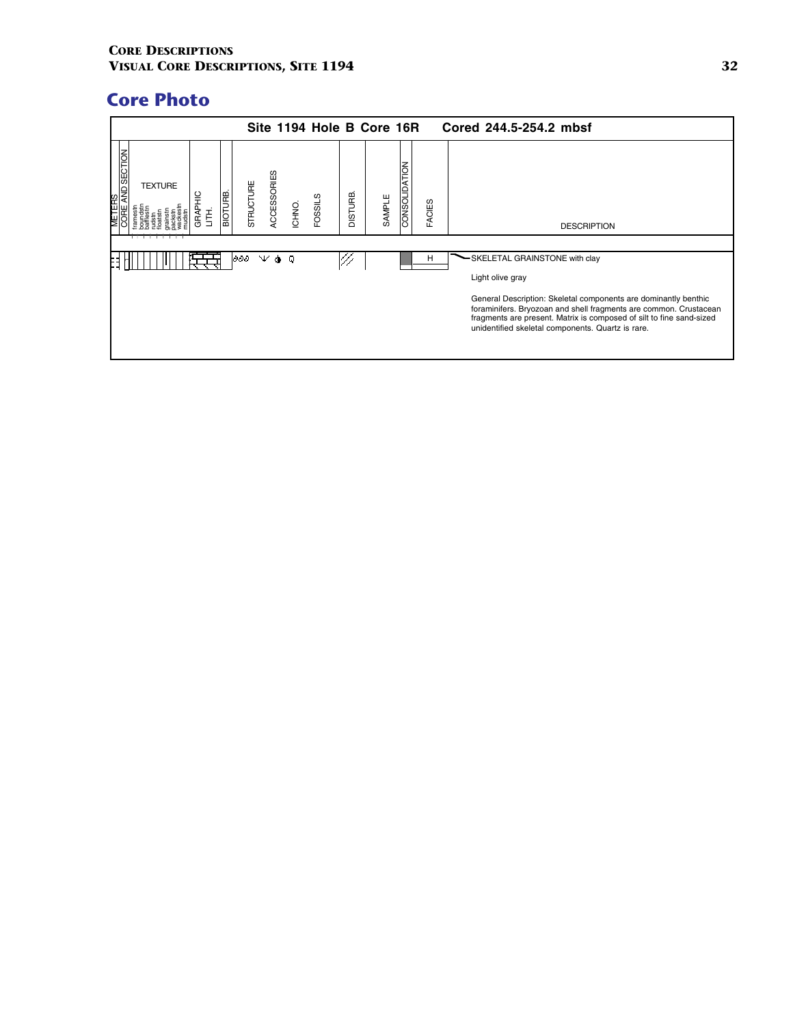|                          |                |                |                |           |             |        |         |         | Site 1194 Hole B Core 16R |               |               | Cored 244.5-254.2 mbsf                                                                                                                                                                                                                                            |
|--------------------------|----------------|----------------|----------------|-----------|-------------|--------|---------|---------|---------------------------|---------------|---------------|-------------------------------------------------------------------------------------------------------------------------------------------------------------------------------------------------------------------------------------------------------------------|
| AND SECTION<br>TERS<br>⊌ | <b>TEXTURE</b> | 읖<br>GRAP<br>Ę | <b>BIOTURE</b> | STRUCTURE | ACCESSORIES | ICHNO. | FOSSILS | DISTURB | SAMPLE                    | CONSOLIDATION | <b>FACIES</b> | <b>DESCRIPTION</b>                                                                                                                                                                                                                                                |
|                          |                |                |                | 1000      | γφο         |        |         |         |                           |               | H             | -SKELETAL GRAINSTONE with clay                                                                                                                                                                                                                                    |
|                          |                |                |                |           |             |        |         |         |                           |               |               | Light olive gray                                                                                                                                                                                                                                                  |
|                          |                |                |                |           |             |        |         |         |                           |               |               | General Description: Skeletal components are dominantly benthic<br>foraminifers. Bryozoan and shell fragments are common. Crustacean<br>fragments are present. Matrix is composed of silt to fine sand-sized<br>unidentified skeletal components. Quartz is rare. |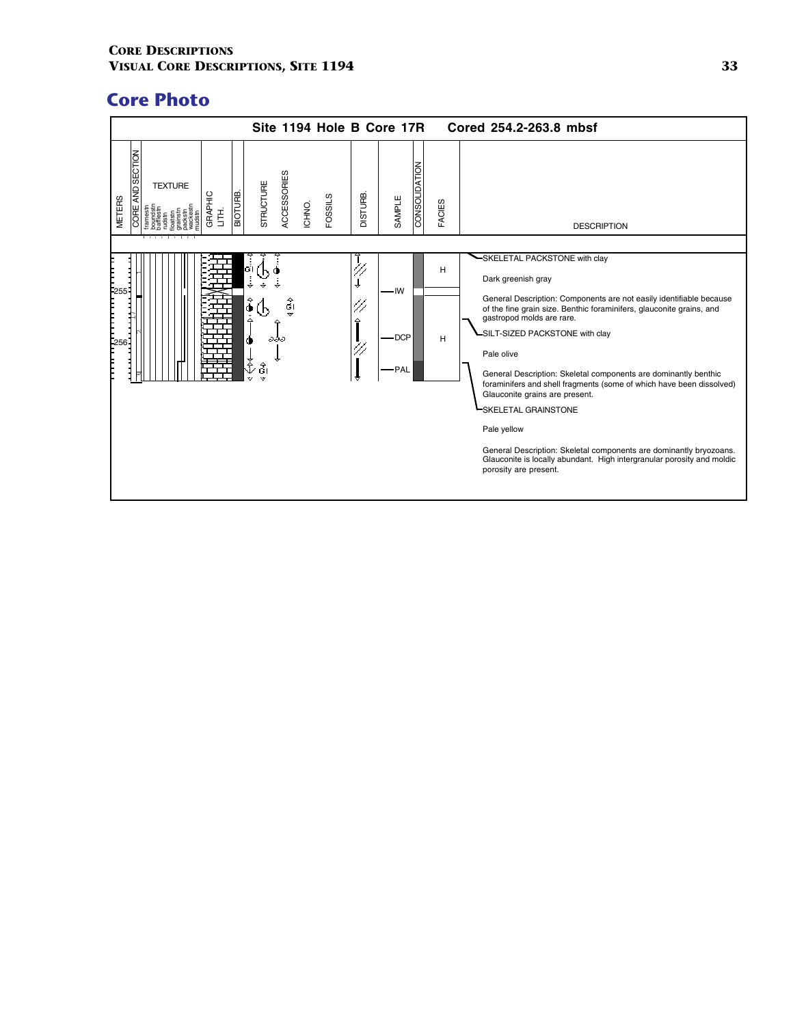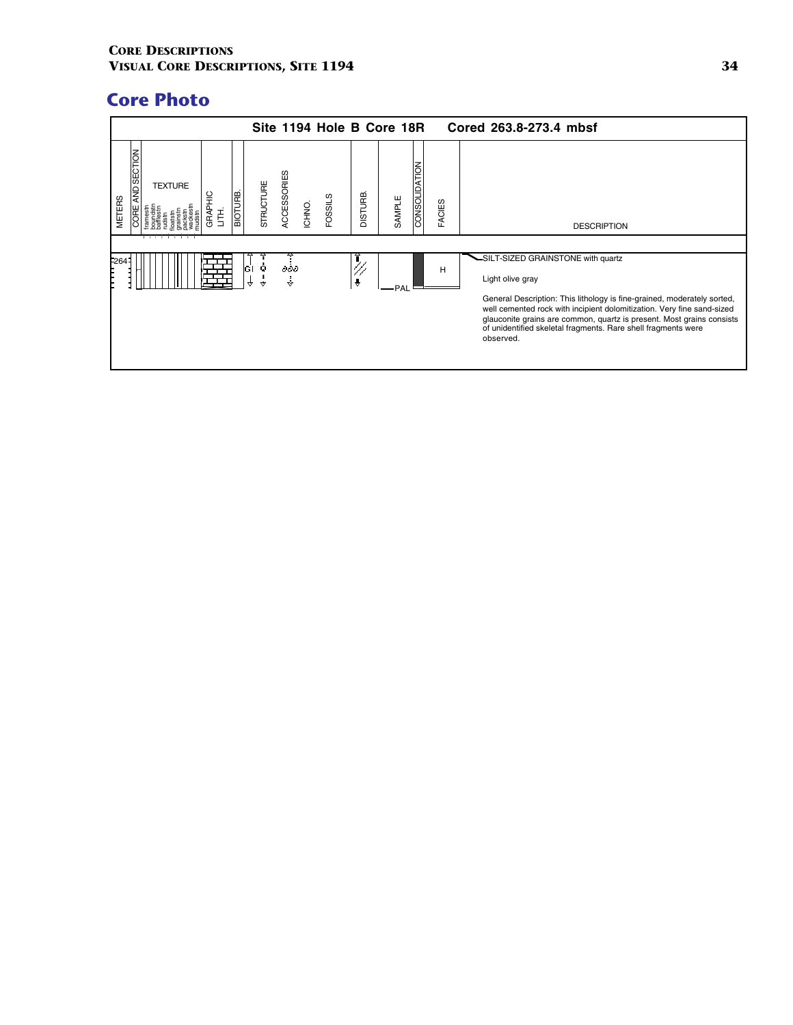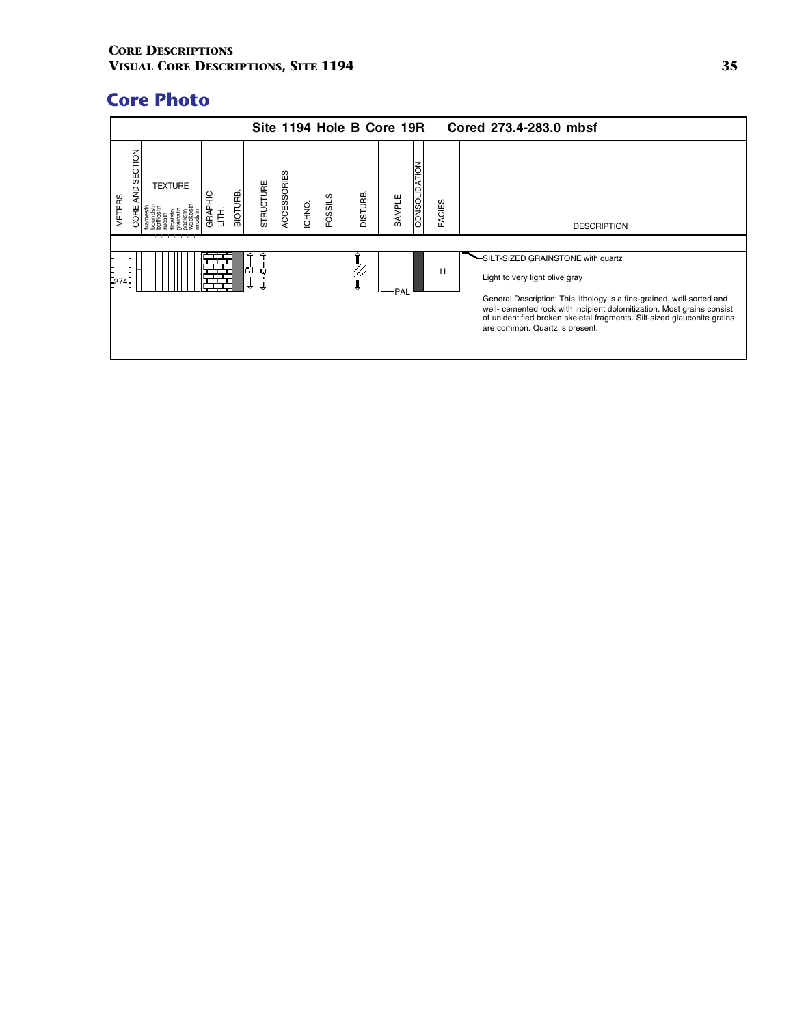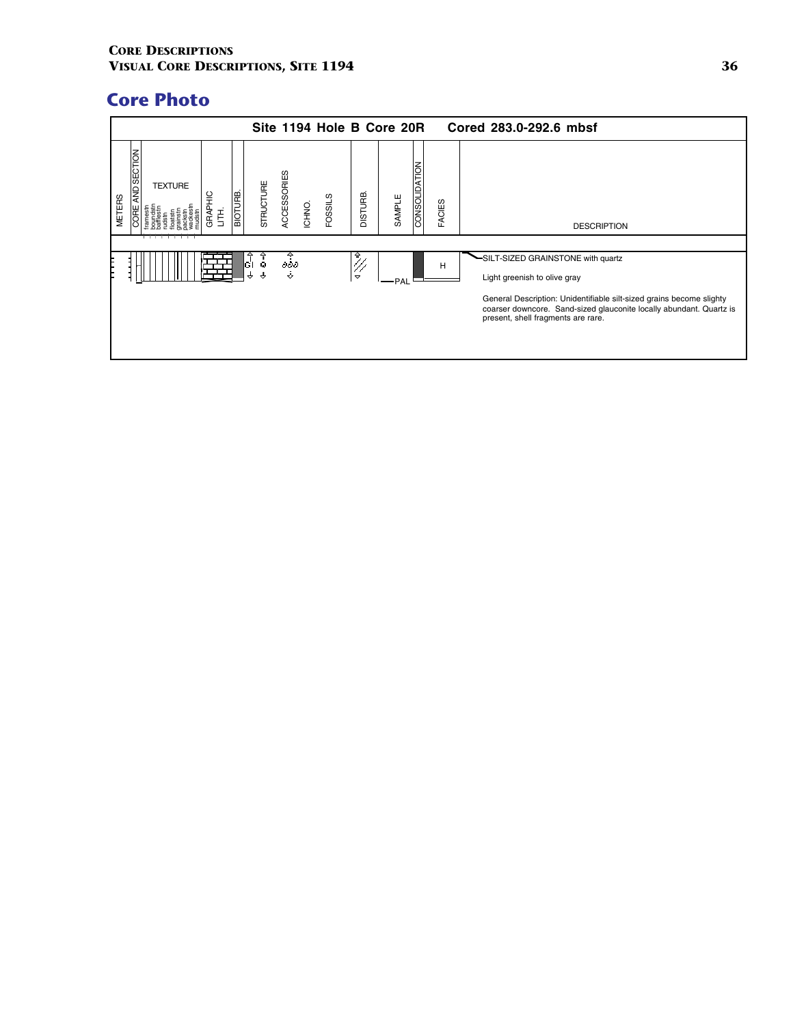|                                                                                                           |                                                      | Site 1194 Hole B Core 20R                 | Cored 283.0-292.6 mbsf                                                                                                                                                            |
|-----------------------------------------------------------------------------------------------------------|------------------------------------------------------|-------------------------------------------|-----------------------------------------------------------------------------------------------------------------------------------------------------------------------------------|
| AND SECTION<br><b>TEXTURE</b><br><b>BIOTURB.</b><br><b>GRAPHIC</b><br><b>METERS</b><br><b>CORE</b><br>HH. | ACCESSORIES<br>STRUCTURE<br><b>FOSSILS</b><br>ICHNO. | CONSOLIDATION<br><b>DISTURB</b><br>SAMPLE | FACIES<br><b>DESCRIPTION</b>                                                                                                                                                      |
|                                                                                                           | Ĝ<br>Ţ<br>дðд<br>$\ddot{\div}$<br>₹<br>$\rightarrow$ | $\frac{2}{\sqrt{2}}$<br>$\breve{}$<br>PAL | SILT-SIZED GRAINSTONE with quartz<br>H<br>Light greenish to olive gray                                                                                                            |
|                                                                                                           |                                                      |                                           | General Description: Unidentifiable silt-sized grains become slighty<br>coarser downcore. Sand-sized glauconite locally abundant. Quartz is<br>present, shell fragments are rare. |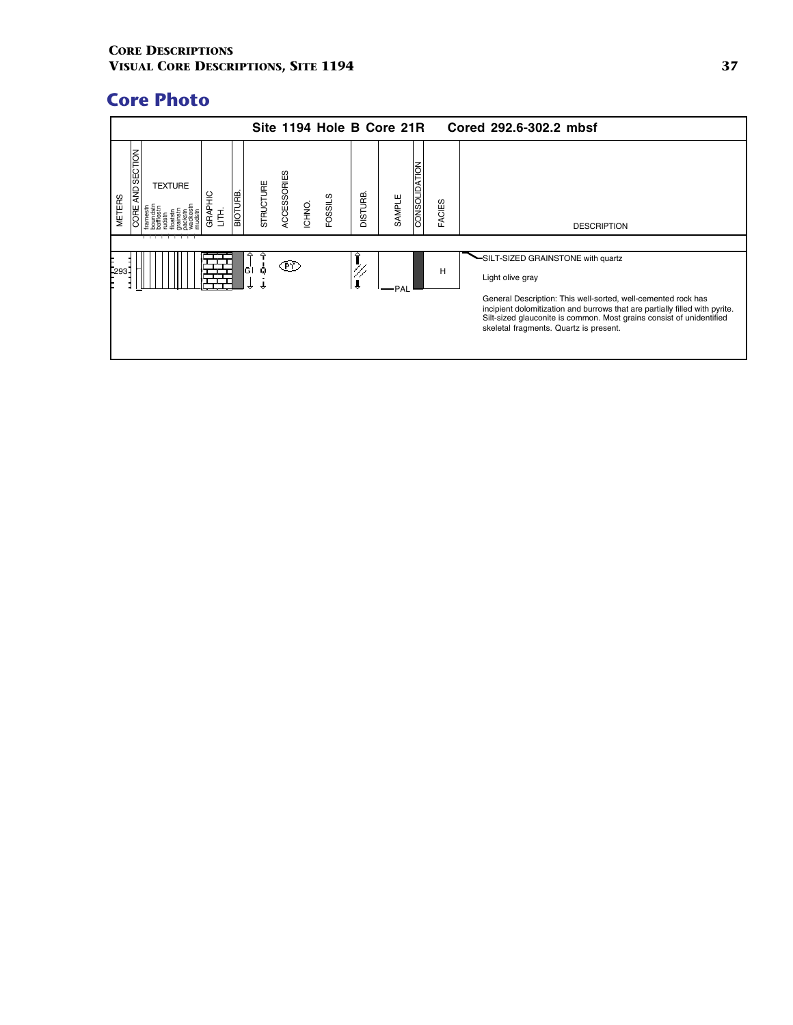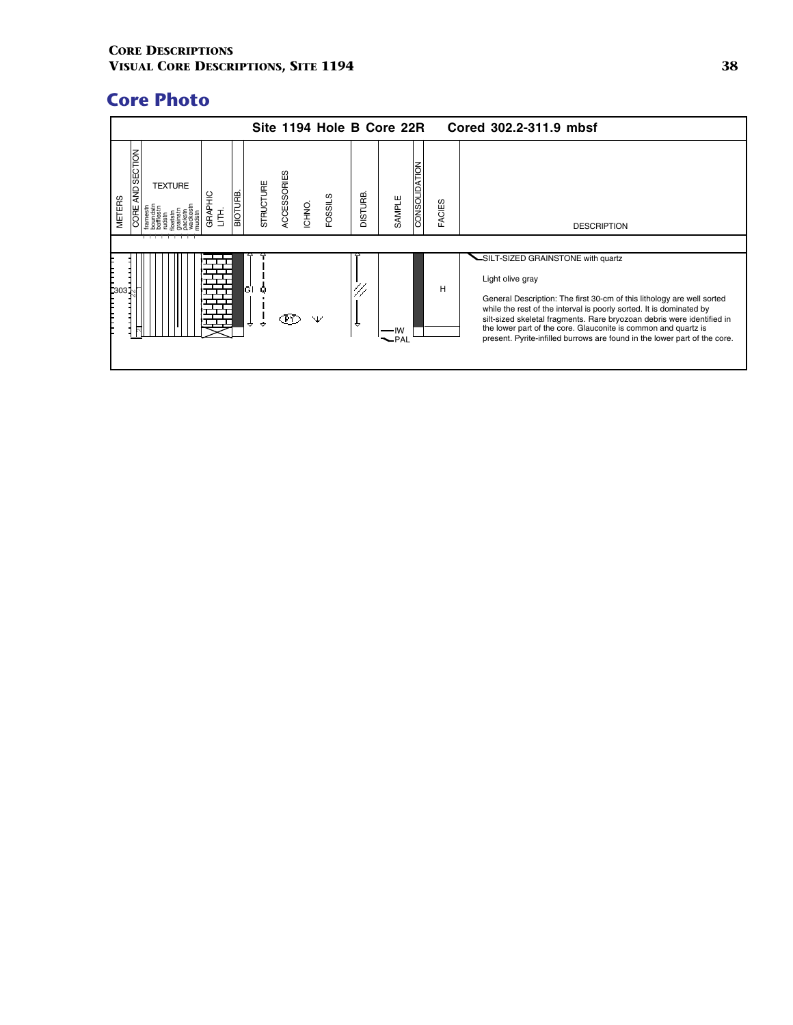|                                    |                |                     |                |           |                    | Site 1194 Hole B Core 22R |              |            |               |               | Cored 302.2-311.9 mbsf                                                                                                                                                                                                                                                                                                                                                                                                           |
|------------------------------------|----------------|---------------------|----------------|-----------|--------------------|---------------------------|--------------|------------|---------------|---------------|----------------------------------------------------------------------------------------------------------------------------------------------------------------------------------------------------------------------------------------------------------------------------------------------------------------------------------------------------------------------------------------------------------------------------------|
| AND SECTION<br><b>METERS</b><br>J₩ | <b>TEXTURE</b> | <b>GRAPHIC</b><br>舌 | <b>BIOTURB</b> | STRUCTURE | <b>ACCESSORIES</b> | FOSSILS<br>ICHNO.         | <b>GHURB</b> | SAMPLE     | CONSOLIDATION | <b>FACIES</b> | <b>DESCRIPTION</b>                                                                                                                                                                                                                                                                                                                                                                                                               |
| <b>303</b><br>F                    |                |                     |                | ĠТ<br>↔   |                    |                           | ₩            | ۱W<br>-PAL |               | н             | -SILT-SIZED GRAINSTONE with quartz<br>Light olive gray<br>General Description: The first 30-cm of this lithology are well sorted<br>while the rest of the interval is poorly sorted. It is dominated by<br>silt-sized skeletal fragments. Rare bryozoan debris were identified in<br>the lower part of the core. Glauconite is common and quartz is<br>present. Pyrite-infilled burrows are found in the lower part of the core. |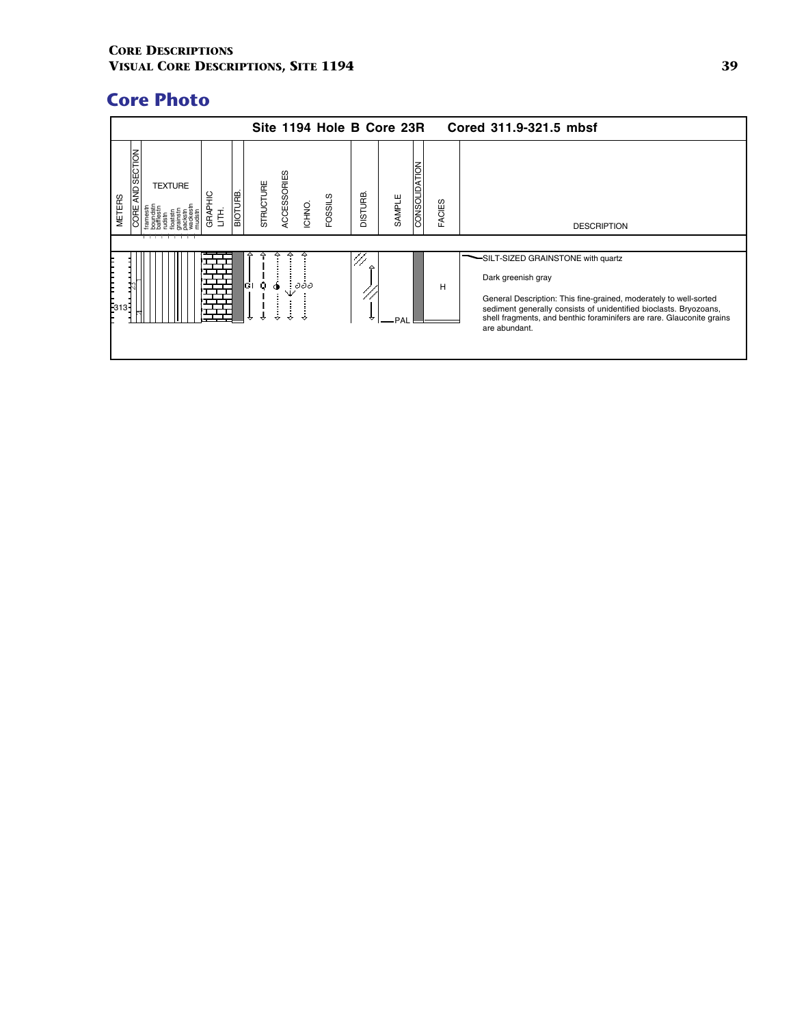|                                             |                         |                     |         |               |             |        | Site 1194 Hole B Core 23R |                |        |               |               | Cored 311.9-321.5 mbsf                                                                                                                                                                                                                                                                      |
|---------------------------------------------|-------------------------|---------------------|---------|---------------|-------------|--------|---------------------------|----------------|--------|---------------|---------------|---------------------------------------------------------------------------------------------------------------------------------------------------------------------------------------------------------------------------------------------------------------------------------------------|
| AND SECTION<br><b>METERS</b><br><b>CORE</b> | <b>TEXTURE</b><br>_____ | <b>GRAPHIC</b><br>舌 | BIOTURB | STRUCTURE     | ACCESSORIES | ICHNO. | FOSSILS                   | <b>DISTURB</b> | SAMPLE | CONSOLIDATION | <b>FACIES</b> | <b>DESCRIPTION</b>                                                                                                                                                                                                                                                                          |
| þз1<br>ıзŦ                                  |                         |                     |         | ĠI<br>Q.<br>↔ |             | əəə    |                           | △              | PAI    |               | н             | SILT-SIZED GRAINSTONE with quartz<br>Dark greenish gray<br>General Description: This fine-grained, moderately to well-sorted<br>sediment generally consists of unidentified bioclasts. Bryozoans,<br>shell fragments, and benthic foraminifers are rare. Glauconite grains<br>are abundant. |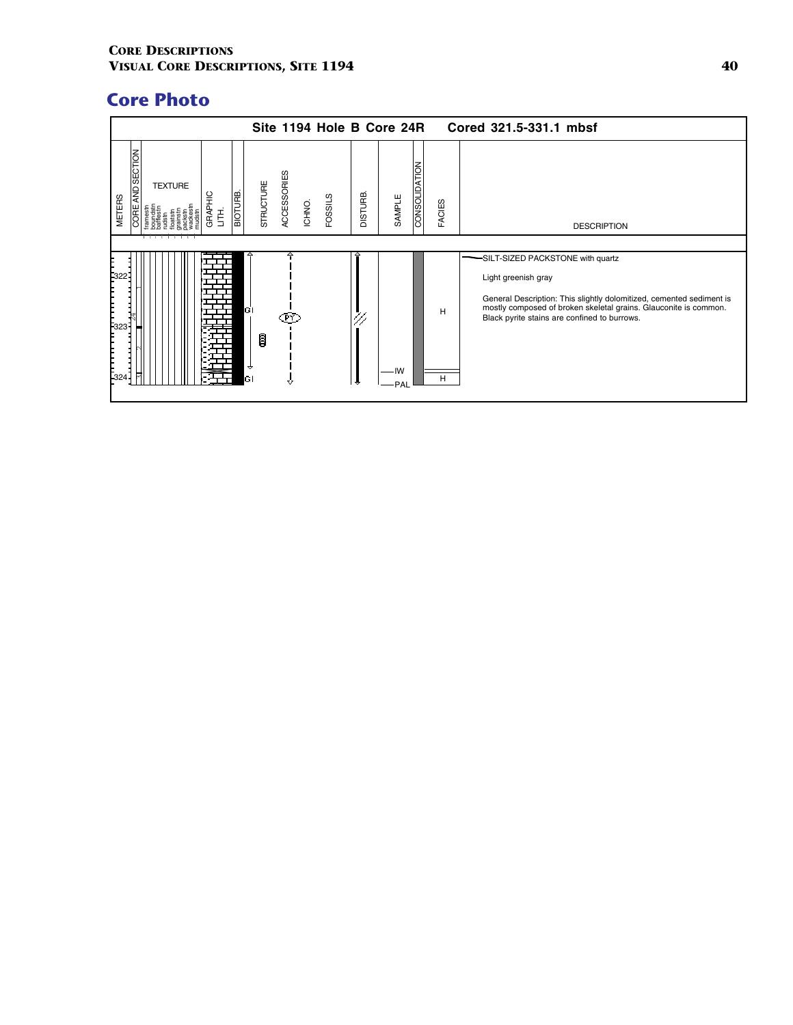|                                             |                |              |           |           |             | Site 1194 Hole B Core 24R |                |             |               |               | Cored 321.5-331.1 mbsf                                                                                                                                                                                                                              |
|---------------------------------------------|----------------|--------------|-----------|-----------|-------------|---------------------------|----------------|-------------|---------------|---------------|-----------------------------------------------------------------------------------------------------------------------------------------------------------------------------------------------------------------------------------------------------|
| <b>AND SECTION</b><br><b>METERS</b><br>CORE | <b>TEXTURE</b> | GRAPHIC<br>舌 | BIOTURB   | STRUCTURE | ACCESSORIES | <b>FOSSILS</b><br>ICHNO.  | <b>DISTURB</b> | SAMPLE      | CONSOLIDATION | <b>FACIES</b> | <b>DESCRIPTION</b>                                                                                                                                                                                                                                  |
|                                             |                |              |           |           |             |                           |                |             |               |               |                                                                                                                                                                                                                                                     |
| -322<br> <br> -<br> -323<br> <br> -324      |                |              | GI<br>ΙGΙ | ß         | PΥ<br>77    |                           | 47             | -IW<br>·PAL |               | н<br>н        | SILT-SIZED PACKSTONE with quartz<br>Light greenish gray<br>General Description: This slightly dolomitized, cemented sediment is<br>mostly composed of broken skeletal grains. Glauconite is common.<br>Black pyrite stains are confined to burrows. |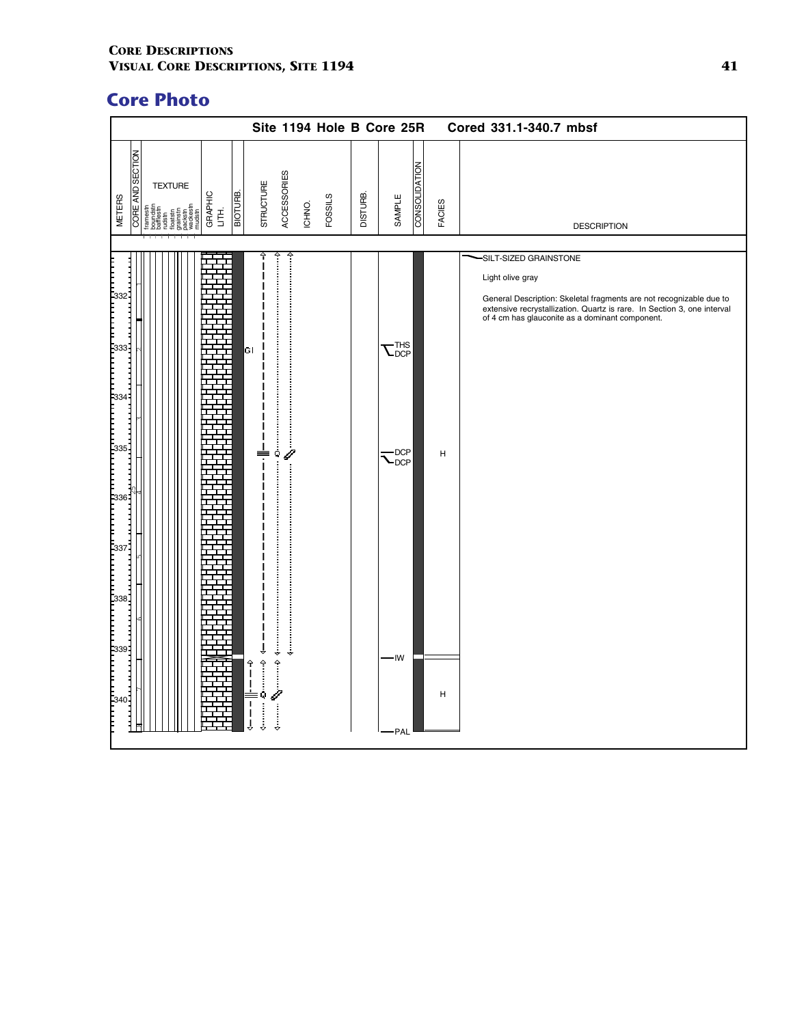|                                                                                                                                                                                                  | Site 1194 Hole B Core 25R                                                                                                                                                                                                                                                                                                                                                                                                                                                                                                                                                                                                                                                                                                                                                                                                                                                                                           |                                                                                                            | Cored 331.1-340.7 mbsf                                                                                                                                                                                                                          |
|--------------------------------------------------------------------------------------------------------------------------------------------------------------------------------------------------|---------------------------------------------------------------------------------------------------------------------------------------------------------------------------------------------------------------------------------------------------------------------------------------------------------------------------------------------------------------------------------------------------------------------------------------------------------------------------------------------------------------------------------------------------------------------------------------------------------------------------------------------------------------------------------------------------------------------------------------------------------------------------------------------------------------------------------------------------------------------------------------------------------------------|------------------------------------------------------------------------------------------------------------|-------------------------------------------------------------------------------------------------------------------------------------------------------------------------------------------------------------------------------------------------|
| <b>CORE AND SECTION</b><br><b>TEXTURE</b><br>віотияв.<br>GRAPHIC<br>LITH.<br><b>METERS</b><br>framestn<br>boundstn<br>bafflestn<br>rudstn<br>floatstn<br>grankstn<br>grakstn<br>pudstn<br>mudstn | ACCESSORIES<br><b>STRUCTURE</b><br>DISTURB.<br><b>FOSSILS</b><br>ICHNO.                                                                                                                                                                                                                                                                                                                                                                                                                                                                                                                                                                                                                                                                                                                                                                                                                                             | CONSOLIDATION<br>SAMPLE<br><b>FACIES</b>                                                                   | <b>DESCRIPTION</b>                                                                                                                                                                                                                              |
| 333.<br>$\begin{bmatrix} 336 \\ 1 \end{bmatrix}$<br>$\begin{bmatrix} 337 \\ 337 \end{bmatrix}$<br>ل<br> -<br> -<br> -<br>339:<br> -<br> -<br>-340                                                | GΙ<br>$\overline{\phantom{a}}$<br>j<br>,,,,,,,,,,,<br>Ý<br>$\begin{picture}(25,20) \put(0,0){\vector(1,0){100}} \put(15,0){\vector(1,0){100}} \put(15,0){\vector(1,0){100}} \put(15,0){\vector(1,0){100}} \put(15,0){\vector(1,0){100}} \put(15,0){\vector(1,0){100}} \put(15,0){\vector(1,0){100}} \put(15,0){\vector(1,0){100}} \put(15,0){\vector(1,0){100}} \put(15,0){\vector(1,0){100}} \put(15,0){\vector(1,0){100}} \$<br>$\begin{matrix} \mathbf{1} & \mathbf{1} & \mathbf{1} & \mathbf{1} & \mathbf{1} & \mathbf{1} & \mathbf{1} & \mathbf{1} & \mathbf{1} & \mathbf{1} & \mathbf{1} & \mathbf{1} & \mathbf{1} & \mathbf{1} & \mathbf{1} & \mathbf{1} & \mathbf{1} & \mathbf{1} & \mathbf{1} & \mathbf{1} & \mathbf{1} & \mathbf{1} & \mathbf{1} & \mathbf{1} & \mathbf{1} & \mathbf{1} & \mathbf{1} & \mathbf{1} & \mathbf{1} & \mathbf{1} & \mathbf{1$<br>$\frac{1}{2}$<br>$\overline{\mathbf{I}}$<br>I | $\overline{\mathsf{L}}_{\texttt{DCP}}^{\texttt{THS}}$<br>$\mathcal{L}_{\text{DCP}}$<br>H<br>IW<br>H<br>PAL | -SILT-SIZED GRAINSTONE<br>Light olive gray<br>General Description: Skeletal fragments are not recognizable due to<br>extensive recrystallization. Quartz is rare. In Section 3, one interval<br>of 4 cm has glauconite as a dominant component. |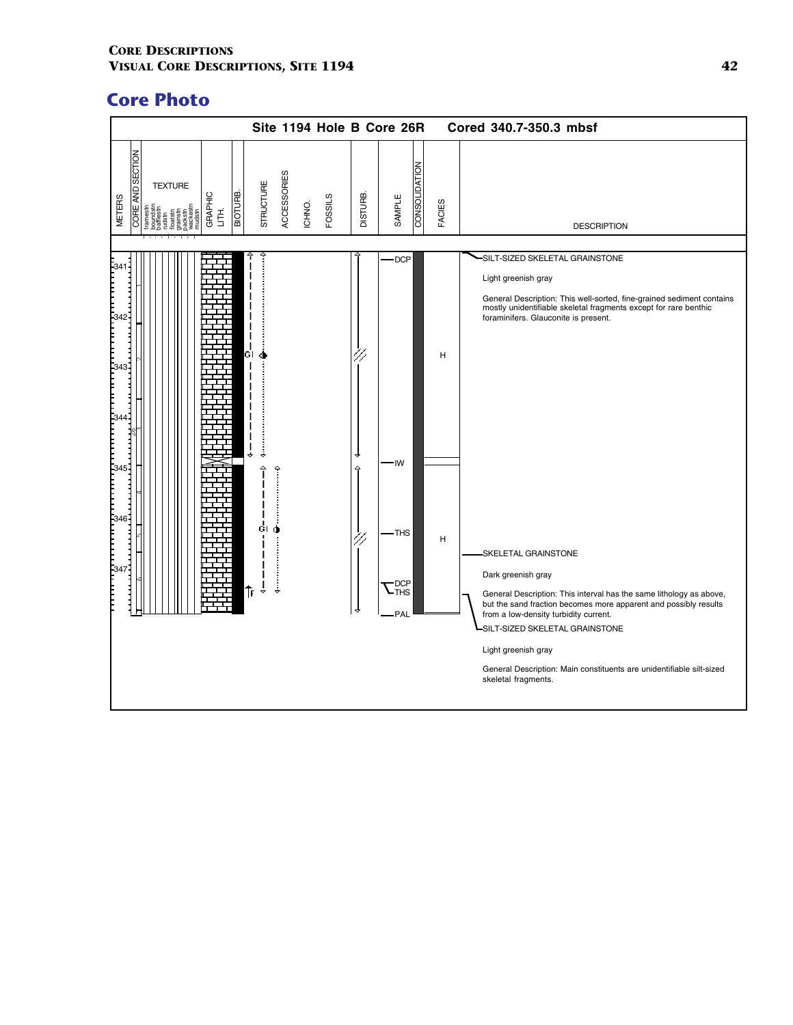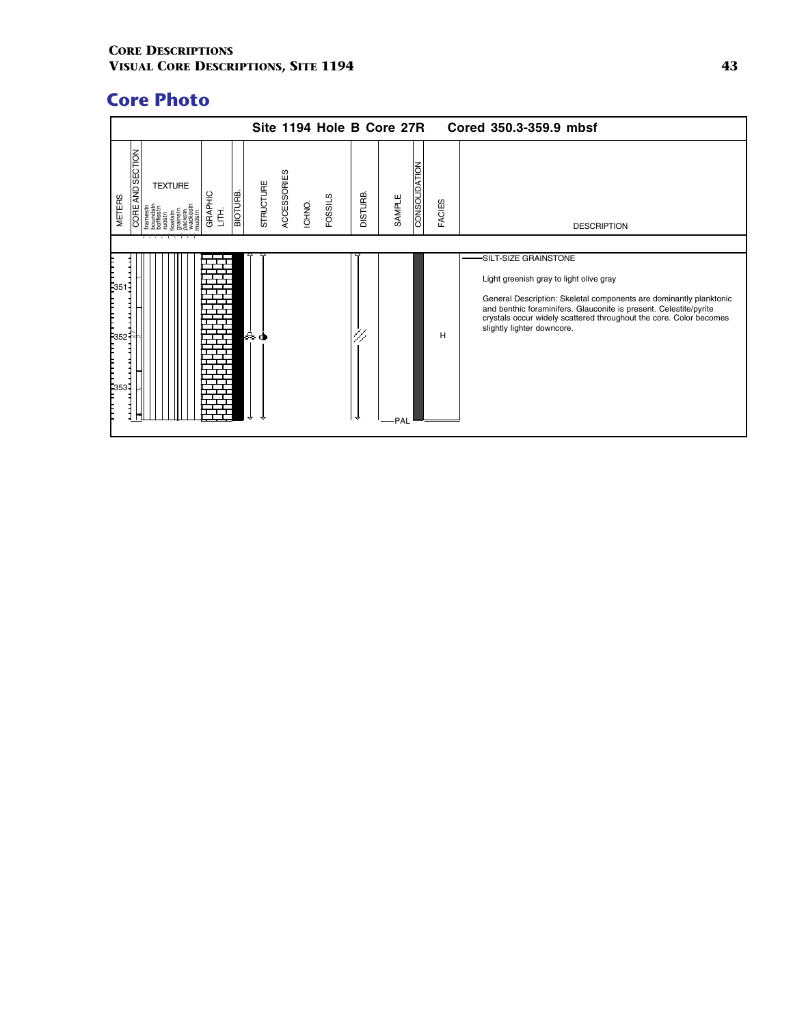|                                                                                                 | Site 1194 Hole B Core 27R                            |                                           |               | Cored 350.3-359.9 mbsf                                                                                                                                                                                                                                                                                          |
|-------------------------------------------------------------------------------------------------|------------------------------------------------------|-------------------------------------------|---------------|-----------------------------------------------------------------------------------------------------------------------------------------------------------------------------------------------------------------------------------------------------------------------------------------------------------------|
| AND SECTION<br><b>TEXTURE</b><br><b>BIOTURE</b><br>GRAPHIC<br><b>METERS</b><br><b>CORE</b><br>舌 | ACCESSORIES<br>STRUCTURE<br><b>FOSSILS</b><br>ICHNO. | CONSOLIDATION<br><b>DISTURB</b><br>SAMPLE | <b>FACIES</b> | <b>DESCRIPTION</b>                                                                                                                                                                                                                                                                                              |
| $E_{351}$<br>$\begin{bmatrix} 1 \\ 352 \end{bmatrix}$<br> <br> -<br> -<br> -                    | & ძ                                                  | ≂<br>·PAL                                 | H             | -SILT-SIZE GRAINSTONE<br>Light greenish gray to light olive gray<br>General Description: Skeletal components are dominantly planktonic<br>and benthic foraminifers. Glauconite is present. Celestite/pyrite<br>crystals occur widely scattered throughout the core. Color becomes<br>slightly lighter downcore. |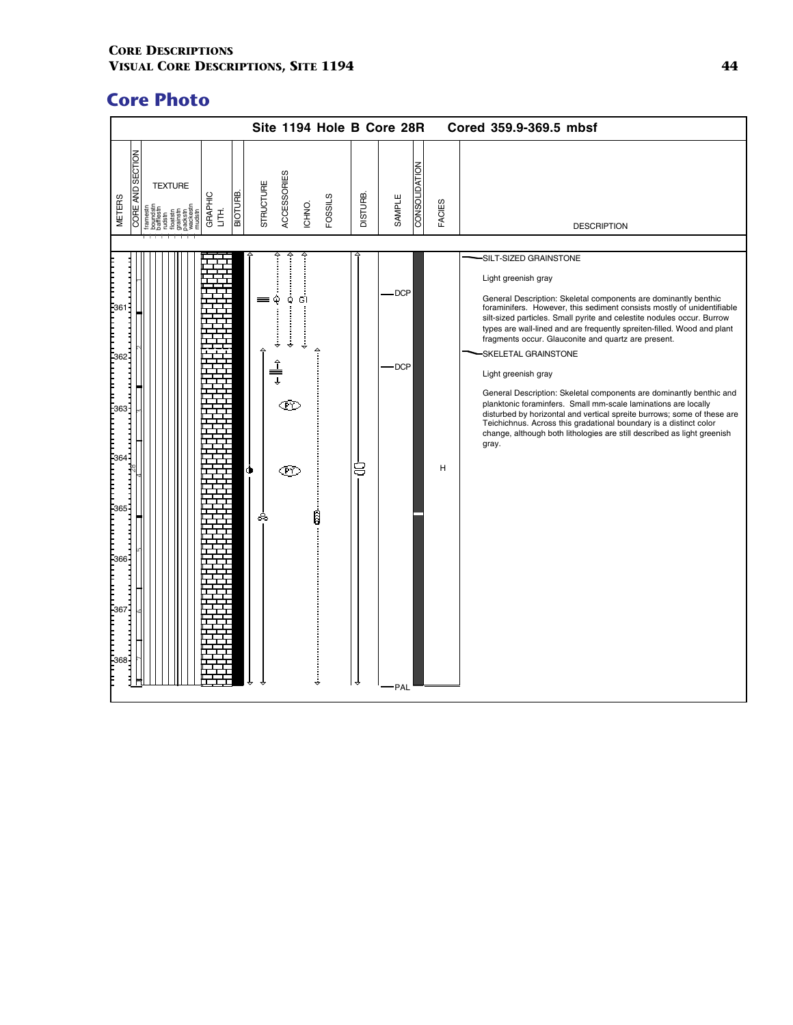|                                                                                                                                                 | Site 1194 Hole B Core 28R                                     |                                            |        | Cored 359.9-369.5 mbsf                                                                                                                                                                                                                                                                                                                                                                                                                                                                                                                                                                                                                                                                                                                                                                                                        |
|-------------------------------------------------------------------------------------------------------------------------------------------------|---------------------------------------------------------------|--------------------------------------------|--------|-------------------------------------------------------------------------------------------------------------------------------------------------------------------------------------------------------------------------------------------------------------------------------------------------------------------------------------------------------------------------------------------------------------------------------------------------------------------------------------------------------------------------------------------------------------------------------------------------------------------------------------------------------------------------------------------------------------------------------------------------------------------------------------------------------------------------------|
| <b>CORE AND SECTION</b><br><b>TEXTURE</b><br>BIOTURE.<br>GRAPHIC<br>LITH.<br><b>METERS</b><br>oatstn<br>rainstn<br>ackstn<br>/ackest<br>framest | ACCESSORIES<br>STRUCTURE<br><b>FOSSILS</b><br>ICHNO.          | <b>CONSOLIDATION</b><br>DISTURB.<br>SAMPLE | FACIES | <b>DESCRIPTION</b>                                                                                                                                                                                                                                                                                                                                                                                                                                                                                                                                                                                                                                                                                                                                                                                                            |
| $-361$<br>-362-<br>$-363 -$<br>-364<br>$-365 -$<br>-366<br>$-367 -$<br>F368-                                                                    | å<br>Q<br>GI<br>j<br>$\hat{I}$<br>ŒΥ<br>Œ<br>Ó<br>Î<br>ஃ<br>į | <b>DCP</b><br>DCP-<br>8<br>군<br>·PAL       | н      | SILT-SIZED GRAINSTONE<br>Light greenish gray<br>General Description: Skeletal components are dominantly benthic foraminifers. However, this sediment consists mostly of unidentifiable<br>silt-sized particles. Small pyrite and celestite nodules occur. Burrow<br>types are wall-lined and are frequently spreiten-filled. Wood and plant<br>fragments occur. Glauconite and quartz are present.<br>SKELETAL GRAINSTONE<br>Light greenish gray<br>General Description: Skeletal components are dominantly benthic and<br>planktonic foraminfers. Small mm-scale laminations are locally<br>disturbed by horizontal and vertical spreite burrows; some of these are<br>Teichichnus. Across this gradational boundary is a distinct color<br>change, although both lithologies are still described as light greenish<br>gray. |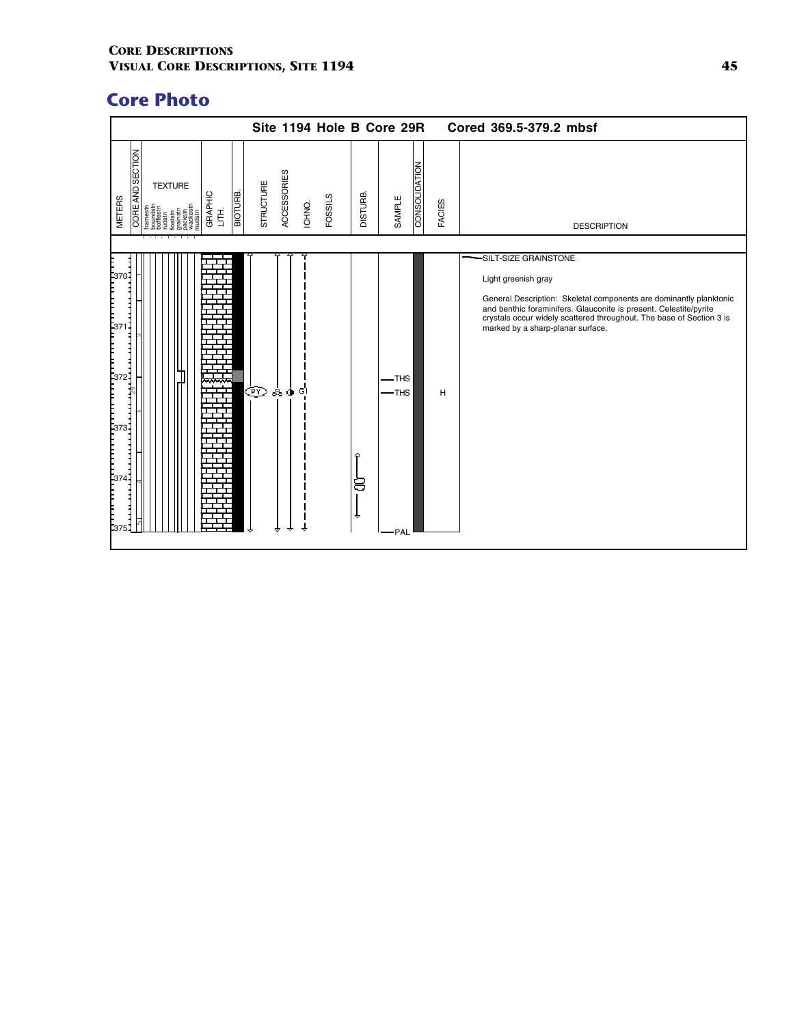|                                                                                                                                                    | Site 1194 Hole B Core 29R                                   |                                     | Cored 369.5-379.2 mbsf                                                                                                                                                                                                                                                                                    |
|----------------------------------------------------------------------------------------------------------------------------------------------------|-------------------------------------------------------------|-------------------------------------|-----------------------------------------------------------------------------------------------------------------------------------------------------------------------------------------------------------------------------------------------------------------------------------------------------------|
| CORE AND SECTION<br><b>TEXTURE</b><br>BIOTURE.<br>GRAPHIC<br><b>METERS</b><br>$\breve{\Xi}$<br>loatstn<br>jrainstn<br>vackest<br>wackest<br>nudstr | <b>ACCESSORIES</b><br>STRUCTURE<br><b>FOSSILS</b><br>ICHNO. | CONSOLIDATION<br>DISTURB.<br>SAMPLE | <b>FACIES</b><br><b>DESCRIPTION</b>                                                                                                                                                                                                                                                                       |
| E375                                                                                                                                               | ŒD.<br>80<br>GI                                             | -THS<br>$-$ THS<br>8<br>↔<br>·PAL   | -SILT-SIZE GRAINSTONE<br>Light greenish gray<br>General Description: Skeletal components are dominantly planktonic<br>and benthic foraminifers. Glauconite is present. Celestite/pyrite<br>crystals occur widely scattered throughout. The base of Section 3 is<br>marked by a sharp-planar surface.<br>н |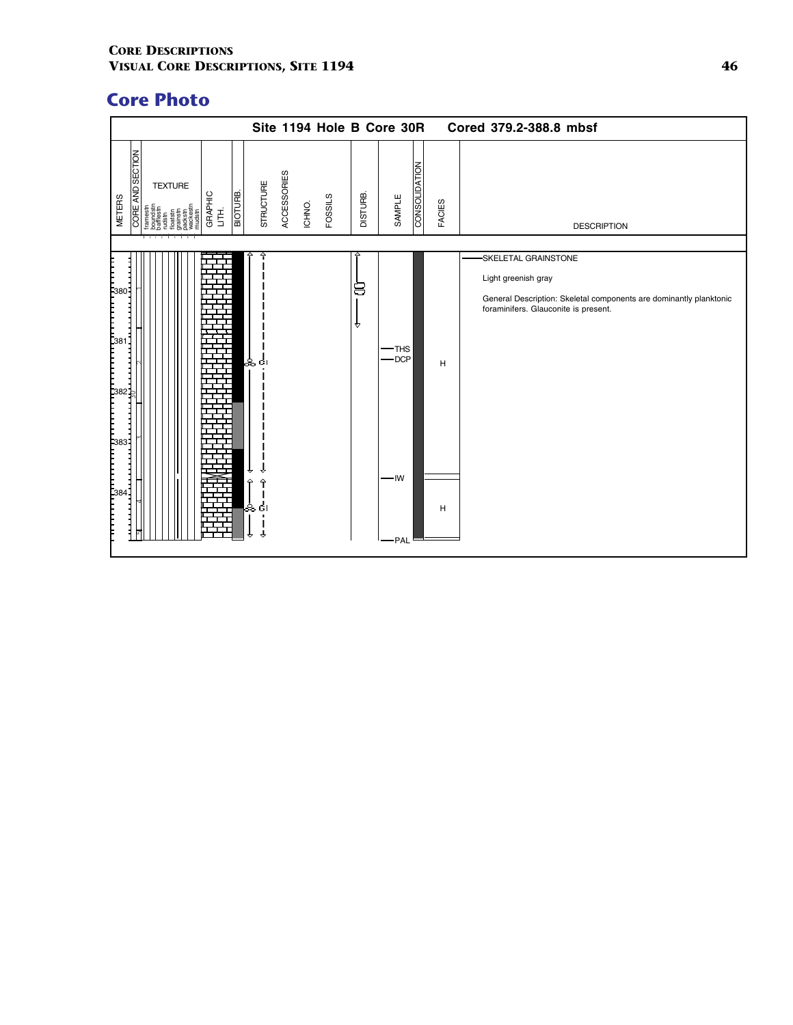|                                                                                                                                                                                                                                     |                                                                                                                                                                                                                                                                                                                                                                                                                                                                                                                                         |                            |                       | Site 1194 Hole B Core 30R |          |                                   |                      |        | Cored 379.2-388.8 mbsf                                                                                                                                   |
|-------------------------------------------------------------------------------------------------------------------------------------------------------------------------------------------------------------------------------------|-----------------------------------------------------------------------------------------------------------------------------------------------------------------------------------------------------------------------------------------------------------------------------------------------------------------------------------------------------------------------------------------------------------------------------------------------------------------------------------------------------------------------------------------|----------------------------|-----------------------|---------------------------|----------|-----------------------------------|----------------------|--------|----------------------------------------------------------------------------------------------------------------------------------------------------------|
| CORE AND SECTION<br><b>METERS</b>                                                                                                                                                                                                   | <b>TEXTURE</b><br>GRAPHIC<br>LITH.<br>framestn<br>$\begin{tabular}{l c} \multicolumn{1}{l}{\textbf{intra}}\\ \multicolumn{1}{l}{\textbf{D}} \\ \multicolumn{1}{l}{\textbf{D}} \\ \multicolumn{1}{l}{\textbf{D}} \\ \multicolumn{1}{l}{\textbf{D}} \\ \multicolumn{1}{l}{\textbf{D}} \\ \multicolumn{1}{l}{\textbf{D}} \\ \multicolumn{1}{l}{\textbf{D}} \\ \multicolumn{1}{l}{\textbf{D}} \\ \multicolumn{1}{l}{\textbf{D}} \\ \multicolumn{1}{l}{\textbf{D}} \\ \multicolumn{1}{l}{\textbf{D}} \\ \multicolumn{1}{l}{\textbf{D}} \\ \$ | STRUCTURE<br>BIOTURB.      | ACCESSORIES<br>ICHNO. | <b>FOSSILS</b>            | DISTURB. | SAMPLE                            | <b>CONSOLIDATION</b> | FACIES | <b>DESCRIPTION</b>                                                                                                                                       |
| הההקטרונות המודעות הקטרונות הקטרונות הקטרונות ה<br>המודעות המודעות המודעות הקטרונות הקטרונות הקטרונות הקטרונות הקטרונות הקטרונות הקטרונות הקטרונות הקטרונות הקטר<br>הרבות הקטרונות המודעות הקטרונות הקטרונות הקטרונות הקטרונות הקטר |                                                                                                                                                                                                                                                                                                                                                                                                                                                                                                                                         | ஃ எ<br>€<br>≏<br>န္တ<br>ĠI |                       |                           | 8<br>₩   | $-$ THS<br>$-$ DCP<br>-IW<br>-PAL |                      | н<br>н | SKELETAL GRAINSTONE<br>Light greenish gray<br>General Description: Skeletal components are dominantly planktonic<br>foraminifers. Glauconite is present. |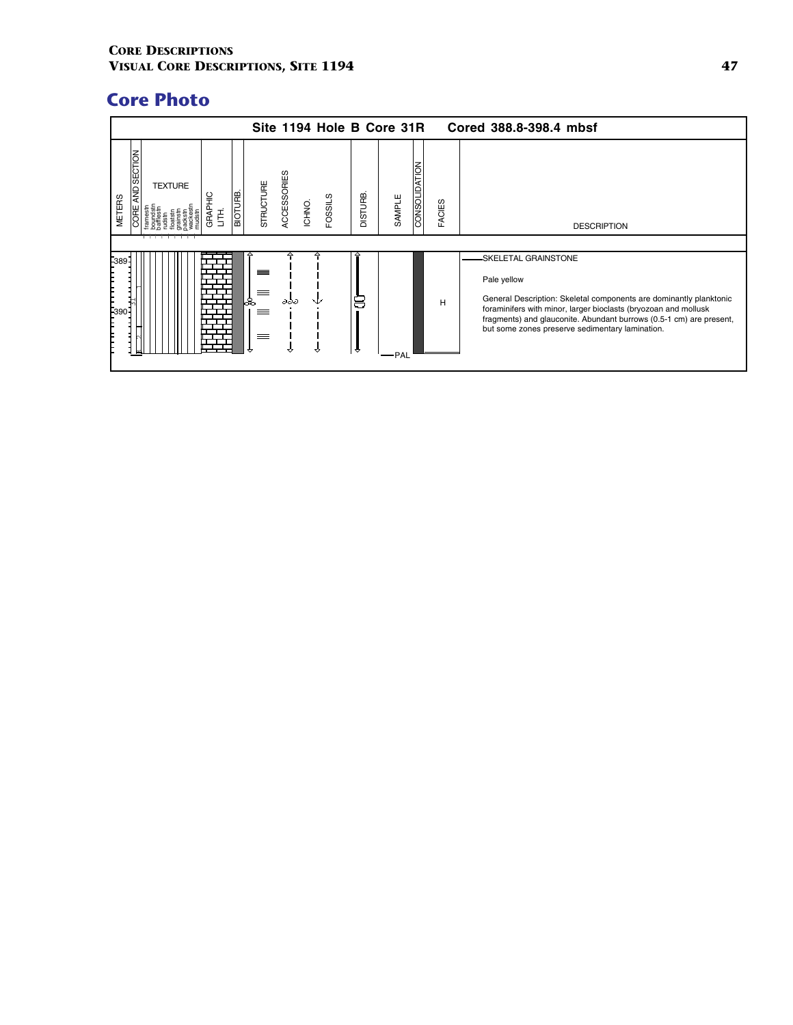|                                             |                           |              |         |                       |             | Site 1194 Hole B Core 31R |                |        |                      |               | Cored 388.8-398.4 mbsf                                                                                                                                                                                                                                                                                 |
|---------------------------------------------|---------------------------|--------------|---------|-----------------------|-------------|---------------------------|----------------|--------|----------------------|---------------|--------------------------------------------------------------------------------------------------------------------------------------------------------------------------------------------------------------------------------------------------------------------------------------------------------|
| AND SECTION<br><b>METERS</b><br><b>CORE</b> | <b>TEXTURE</b><br>─────── | GRAPHIC<br>舌 | BIOTURB | STRUCTURE             | ACCESSORIES | <b>FOSSILS</b><br>ICHNO.  | <b>DISTURB</b> | SAMPLE | <b>CONSOLIDATION</b> | <b>FACIES</b> | <b>DESCRIPTION</b>                                                                                                                                                                                                                                                                                     |
| F389<br>$F_{390}$                           |                           |              |         | ▵<br>≡<br>ஃ<br>≡<br>≡ | ддд         |                           | 8<br>÷         | ·PAL   |                      | H             | -SKELETAL GRAINSTONE<br>Pale yellow<br>General Description: Skeletal components are dominantly planktonic<br>foraminifers with minor, larger bioclasts (bryozoan and mollusk<br>fragments) and glauconite. Abundant burrows (0.5-1 cm) are present,<br>but some zones preserve sedimentary lamination. |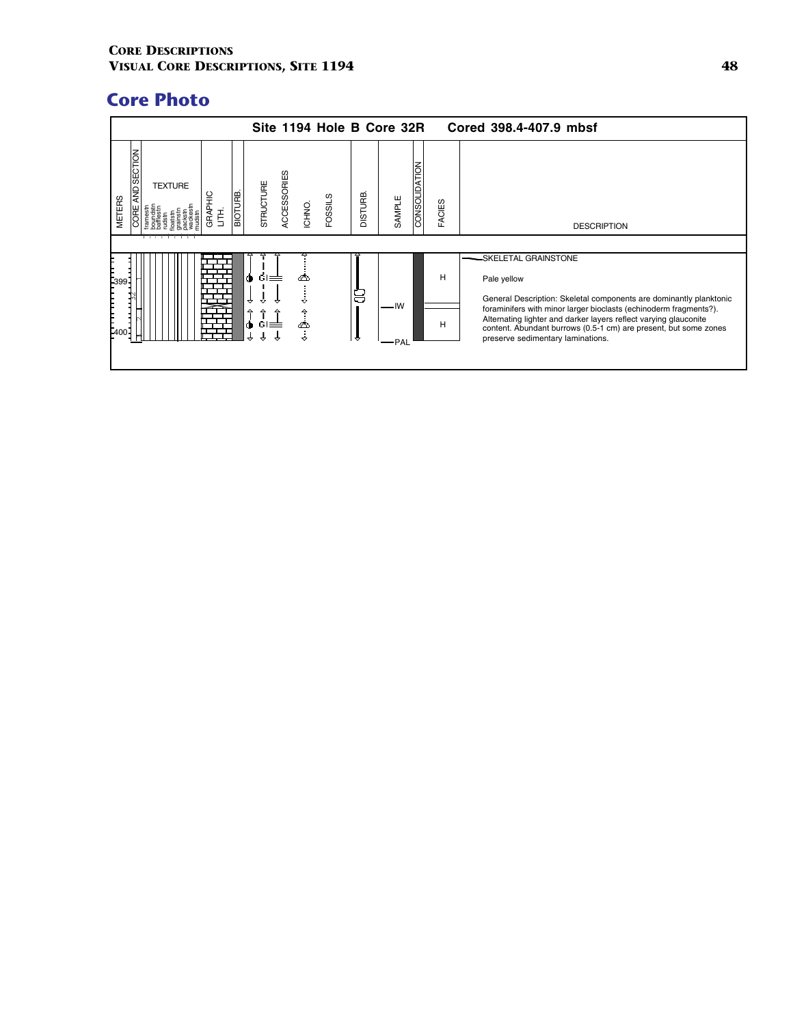|                                      |                     |                       |                  |                                   |                                   | Site 1194 Hole B Core 32R |                |             |               |        | Cored 398.4-407.9 mbsf                                                                                                                                                                                                                                                                                                                                      |
|--------------------------------------|---------------------|-----------------------|------------------|-----------------------------------|-----------------------------------|---------------------------|----------------|-------------|---------------|--------|-------------------------------------------------------------------------------------------------------------------------------------------------------------------------------------------------------------------------------------------------------------------------------------------------------------------------------------------------------------|
| AND SECTION<br><b>METERS</b><br>CORE | <b>TEXTURE</b><br>. | 읖<br><b>GRAP</b><br>喜 | <b>BIOTURE</b>   | STRUCTURE                         | ACCESSORIES<br>ICHNO.             | FOSSILS                   | <b>DISTURB</b> | SAMPLE      | CONSOLIDATION | FACIES | <b>DESCRIPTION</b>                                                                                                                                                                                                                                                                                                                                          |
| -399<br>F400                         |                     |                       | Ó<br>↔<br>수<br>۰ | $\sin \equiv$<br>≙<br>$GI \equiv$ | ∞<br>$\hat{\mathbf{r}}$<br>٨<br>÷ |                           | 8<br>₩         | — IW<br>PAL |               | н<br>н | -SKELETAL GRAINSTONE<br>Pale yellow<br>General Description: Skeletal components are dominantly planktonic<br>foraminifers with minor larger bioclasts (echinoderm fragments?).<br>Alternating lighter and darker layers reflect varying glauconite<br>content. Abundant burrows (0.5-1 cm) are present, but some zones<br>preserve sedimentary laminations. |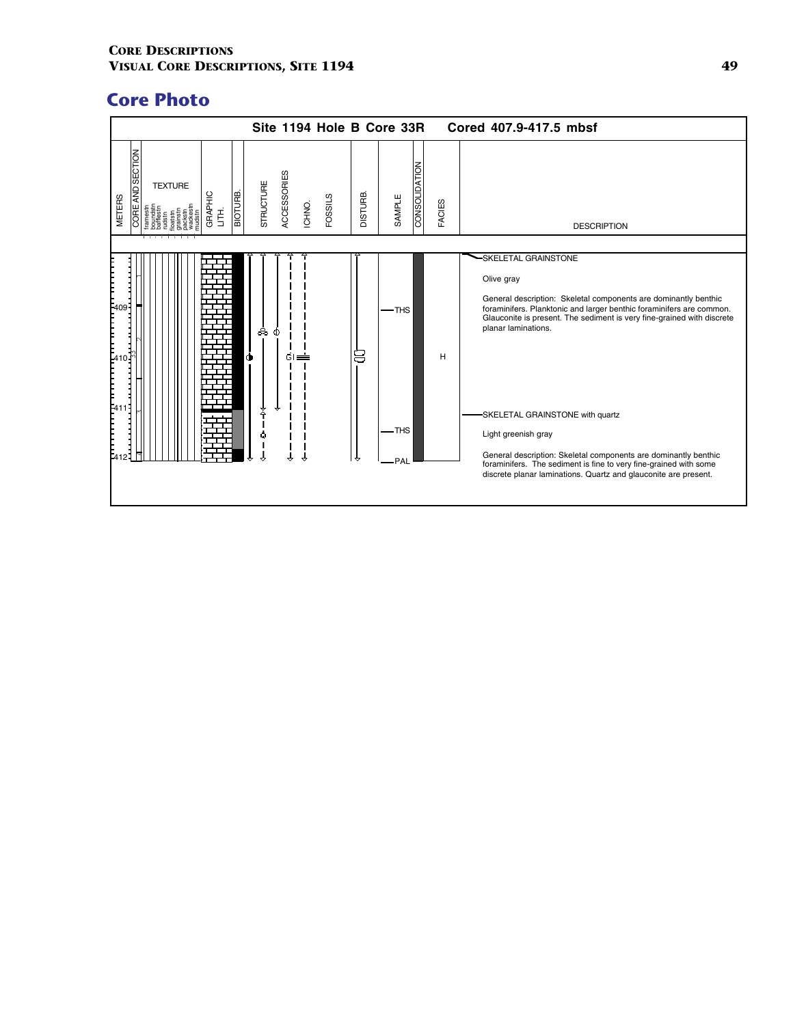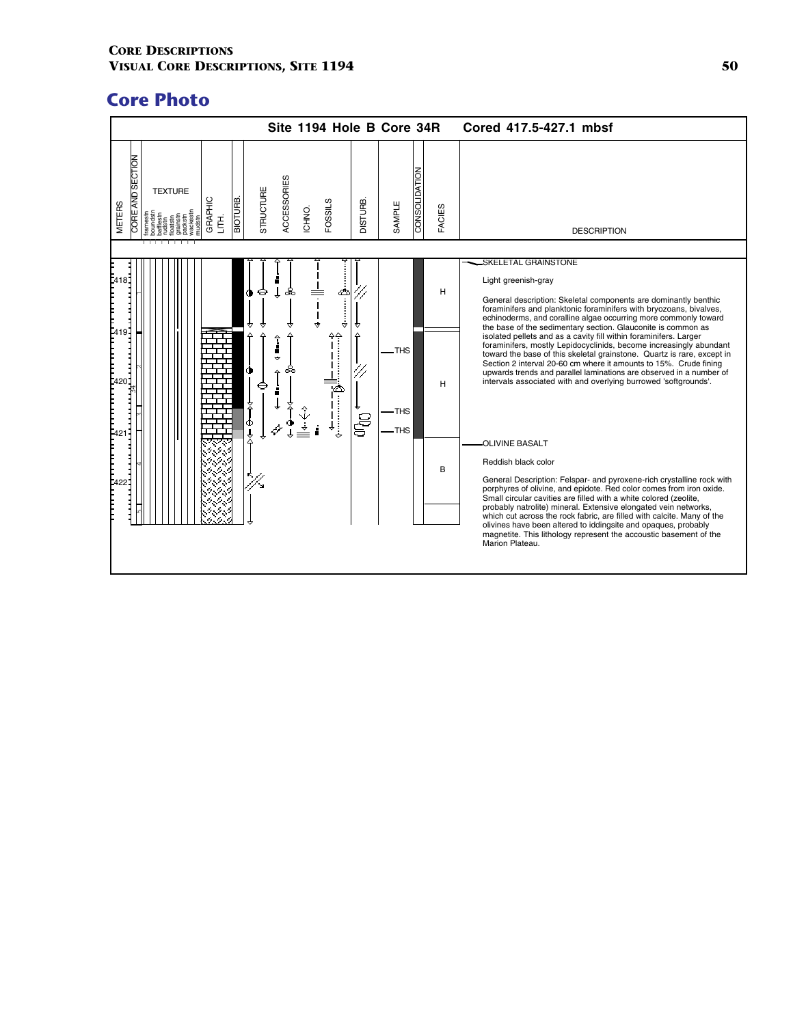|                                                                                       | Site 1194 Hole B Core 34R                                        |                                          | Cored 417.5-427.1 mbsf                                                                                                                                                                                                                                                                                                                                                                                                                                                                                                                                                                                           |
|---------------------------------------------------------------------------------------|------------------------------------------------------------------|------------------------------------------|------------------------------------------------------------------------------------------------------------------------------------------------------------------------------------------------------------------------------------------------------------------------------------------------------------------------------------------------------------------------------------------------------------------------------------------------------------------------------------------------------------------------------------------------------------------------------------------------------------------|
| CORE AND SECTION<br><b>TEXTURE</b><br><b>BIOTURE</b><br>GRAPHIC<br><b>METERS</b><br>舌 | ACCESSORIES<br>STRUCTURE<br>FOSSILS<br><b>JISTURB.</b><br>ICHNO. | CONSOLIDATION<br>SAMPLE<br><b>FACIES</b> | <b>DESCRIPTION</b>                                                                                                                                                                                                                                                                                                                                                                                                                                                                                                                                                                                               |
| ţ.<br>81<br>٠<br>E<br>E <sup>41</sup><br>9-l                                          | ஃ<br>⇔<br>$\hat{\mathbf{r}}$<br>⇁                                | H<br>.THS                                | SKELETAL GRAINSTONE<br>Light greenish-gray<br>General description: Skeletal components are dominantly benthic<br>foraminifers and planktonic foraminifers with bryozoans, bivalves,<br>echinoderms, and coralline algae occurring more commonly toward<br>the base of the sedimentary section. Glauconite is common as<br>isolated pellets and as a cavity fill within foraminifers. Larger<br>foraminifers, mostly Lepidocyclinids, become increasingly abundant<br>toward the base of this skeletal grainstone. Quartz is rare, except in<br>Section 2 interval 20-60 cm where it amounts to 15%. Crude fining |
| 420<br> <br> -<br> -<br>Φ                                                             | ඍ<br>දි                                                          | н<br>-THS<br>-THS<br>B                   | upwards trends and parallel laminations are observed in a number of<br>intervals associated with and overlying burrowed 'softgrounds'.<br>OLIVINE BASALT<br>Reddish black color                                                                                                                                                                                                                                                                                                                                                                                                                                  |
| Þ.                                                                                    |                                                                  |                                          | General Description: Felspar- and pyroxene-rich crystalline rock with<br>porphyres of olivine, and epidote. Red color comes from iron oxide.<br>Small circular cavities are filled with a white colored (zeolite,<br>probably natrolite) mineral. Extensive elongated vein networks,<br>which cut across the rock fabric, are filled with calcite. Many of the<br>olivines have been altered to iddingsite and opaques, probably<br>magnetite. This lithology represent the accoustic basement of the<br>Marion Plateau.                                                                                         |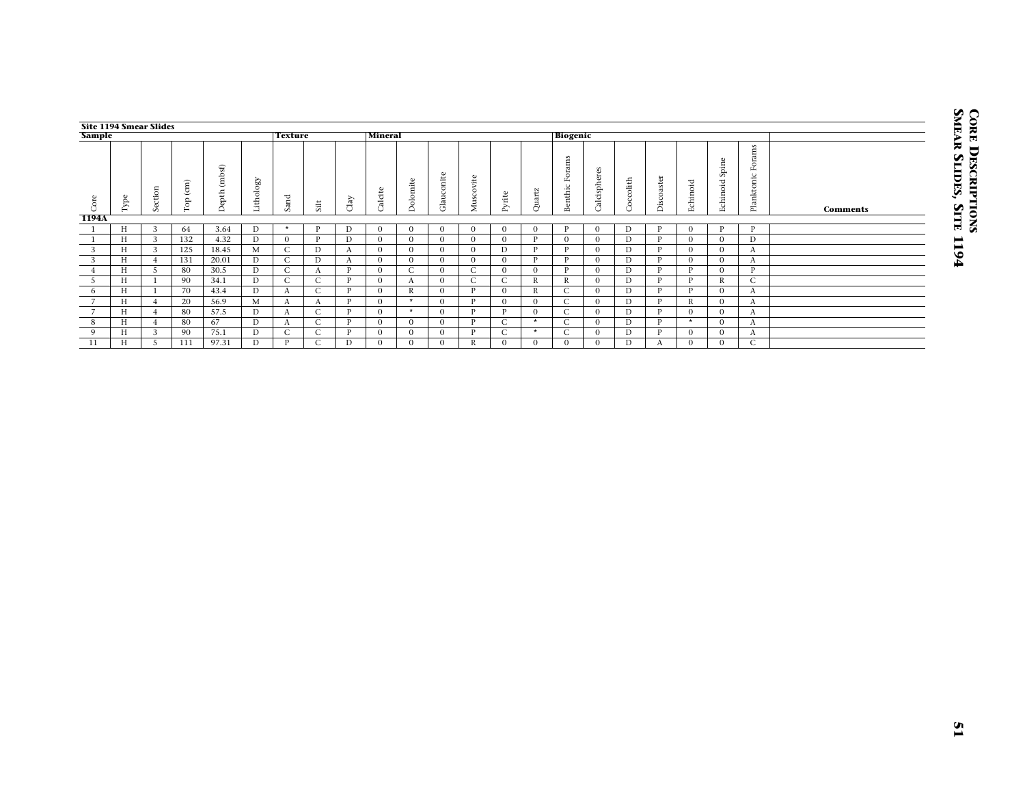| <b>Sample</b>                                                                                                                                                       |                                           | <b>Site 1194 Smear Slides</b>                                                                                                                   |                                                       |                                                                        |                                                                                                                                                         | <b>Texture</b>                                                                                                                              |                                                                                                                                         |                                                                                                                                                               | Mineral                                                                                                                                                      |                                                                                                                                                                     |                                                                                                                                                        |                                                                                                                                                                  |                                                                                                                                                                  |                                                                                                                                                               | <b>Biogenic</b>                                                                                                                                      |                                                                                                                                                                |                                                                                                                                          |                                                                                                                                               |                                                                                                                                                                    |                                                                                                                                                            |                                                                                                                                                         |                 |
|---------------------------------------------------------------------------------------------------------------------------------------------------------------------|-------------------------------------------|-------------------------------------------------------------------------------------------------------------------------------------------------|-------------------------------------------------------|------------------------------------------------------------------------|---------------------------------------------------------------------------------------------------------------------------------------------------------|---------------------------------------------------------------------------------------------------------------------------------------------|-----------------------------------------------------------------------------------------------------------------------------------------|---------------------------------------------------------------------------------------------------------------------------------------------------------------|--------------------------------------------------------------------------------------------------------------------------------------------------------------|---------------------------------------------------------------------------------------------------------------------------------------------------------------------|--------------------------------------------------------------------------------------------------------------------------------------------------------|------------------------------------------------------------------------------------------------------------------------------------------------------------------|------------------------------------------------------------------------------------------------------------------------------------------------------------------|---------------------------------------------------------------------------------------------------------------------------------------------------------------|------------------------------------------------------------------------------------------------------------------------------------------------------|----------------------------------------------------------------------------------------------------------------------------------------------------------------|------------------------------------------------------------------------------------------------------------------------------------------|-----------------------------------------------------------------------------------------------------------------------------------------------|--------------------------------------------------------------------------------------------------------------------------------------------------------------------|------------------------------------------------------------------------------------------------------------------------------------------------------------|---------------------------------------------------------------------------------------------------------------------------------------------------------|-----------------|
| Core                                                                                                                                                                | $_{\rm Type}$                             | Section                                                                                                                                         | $\operatorname{Top}\left( \mathbf{cm}\right)$         | Depth (mbsf)                                                           | Lithology                                                                                                                                               | Sand                                                                                                                                        | $\operatorname{Silt}$                                                                                                                   | $_{\rm{Clay}}$                                                                                                                                                | Calcite                                                                                                                                                      | Dolomite                                                                                                                                                            | Glauconite                                                                                                                                             | Muscovite                                                                                                                                                        | $\ensuremath{\text{Pytte}}$                                                                                                                                      | Quartz                                                                                                                                                        | Benthic Forams                                                                                                                                       | Calcispheres                                                                                                                                                   | $\operatorname{Cocc}_{}$                                                                                                                 | Discoaster                                                                                                                                    | Echinoid                                                                                                                                                           | Echinoid Spine                                                                                                                                             | Planktonic Forams                                                                                                                                       | <b>Comments</b> |
| 1194A<br>$\mathbf{1}$<br>$\mathbf{1}$<br>$\overline{3}$<br>$\mathbf{3}$<br>$\overline{4}$<br>$\overline{5}$<br>$6\overline{6}$<br>$7\overline{ }$<br>$\overline{7}$ | H<br>H<br>H<br>H<br>H<br>H<br>H<br>H<br>H | 3<br>$\overline{3}$<br>$\overline{3}$<br>$\overline{4}$<br>$\overline{5}$<br>$\mathbf{1}$<br>$\overline{1}$<br>$\overline{4}$<br>$\overline{4}$ | 64<br>132<br>125<br>131<br>80<br>90<br>70<br>20<br>80 | 3.64<br>4.32<br>18.45<br>20.01<br>30.5<br>34.1<br>43.4<br>56.9<br>57.5 | $\mathbf D$<br>$\overline{D}$<br>M<br>$\mathbf{D}$<br>$\overline{\text{D}}$<br>$\overline{D}$<br>$\overline{D}$<br>$\mathbf M$<br>$\overline{\text{D}}$ | $^\star$<br>$\mathbf{0}$<br>$\overline{C}$<br>$\mathsf{C}$<br>$\overline{C}$<br>$\overline{C}$<br>$\Lambda$<br>$\mathbf{A}$<br>$\mathbf{A}$ | $\, {\bf P}$<br>$\mathbf{P}$<br>$\overline{D}$<br>D<br>$\mathbf{A}$<br>$\mathsf{C}$<br>$\overline{C}$<br>$\mathbf{A}$<br>$\overline{C}$ | D<br>$\overline{D}$<br>$\mathbf{A}$<br>$\mathbf{A}$<br>$\overline{\mathbf{P}}$<br>$\overline{\mathbf{P}}$<br>$\overline{P}$<br>$\, {\bf P}$<br>$\overline{P}$ | $\boldsymbol{0}$<br>$\overline{0}$<br>$\overline{0}$<br>$\mathbf{0}$<br>$\mathbf{0}$<br>$\mathbf{0}$<br>$\overline{0}$<br>$\boldsymbol{0}$<br>$\overline{0}$ | $\boldsymbol{0}$<br>$\overline{0}$<br>$\overline{0}$<br>$\boldsymbol{0}$<br>$\overline{C}$<br>$\mathbf{A}$<br>$\overline{R}$<br>$\star$<br>$\overline{\phantom{a}}$ | $\mathbf{0}$<br>$\overline{0}$<br>$\overline{0}$<br>$\overline{0}$<br>$\mathbf{0}$<br>$\mathbf{0}$<br>$\overline{0}$<br>$\mathbf{0}$<br>$\overline{0}$ | $\boldsymbol{0}$<br>$\overline{0}$<br>$\overline{0}$<br>$\boldsymbol{0}$<br>$\overline{C}$<br>$\overline{C}$<br>$\overline{P}$<br>$\, {\bf P}$<br>$\overline{P}$ | $\overline{0}$<br>$\overline{0}$<br>$\overline{D}$<br>$\boldsymbol{0}$<br>$\overline{0}$<br>$\overline{C}$<br>$\overline{0}$<br>$\overline{0}$<br>$\overline{P}$ | $\boldsymbol{0}$<br>$\overline{\mathbf{P}}$<br>$\overline{P}$<br>$\mathbf{P}$<br>$\overline{0}$<br>$\overline{R}$<br>$\,$ R<br>$\mathbf{0}$<br>$\overline{0}$ | $\, {\bf P}$<br>$\overline{0}$<br>$\overline{P}$<br>$\, {\bf P}$<br>$\, {\bf P}$<br>$\, {\bf R}$<br>$\overline{C}$<br>$\mathsf{C}$<br>$\overline{C}$ | $\overline{0}$<br>$\overline{0}$<br>$\overline{0}$<br>$\overline{0}$<br>$\overline{0}$<br>$\overline{0}$<br>$\overline{0}$<br>$\overline{0}$<br>$\overline{0}$ | $\mathbf D$<br>$\overline{D}$<br>$\overline{D}$<br>$\mathbf D$<br>$\overline{D}$<br>$\overline{D}$<br>D<br>$\mathbf D$<br>$\overline{D}$ | $\, {\bf P}$<br>$\mathbf{P}$<br>$\overline{P}$<br>$\, {\bf P}$<br>$\rm P$<br>$\mathbf{P}$<br>$\overline{P}$<br>$\, {\bf P}$<br>$\overline{P}$ | $\boldsymbol{0}$<br>$\overline{0}$<br>$\overline{0}$<br>$\boldsymbol{0}$<br>$\rm P$<br>$\overline{\mathbf{P}}$<br>$\overline{P}$<br>$\, {\bf R}$<br>$\overline{0}$ | $\, {\bf P}$<br>$\overline{0}$<br>$\overline{0}$<br>$\mathbf{0}$<br>$\overline{0}$<br>$\mathbb{R}$<br>$\overline{0}$<br>$\boldsymbol{0}$<br>$\overline{0}$ | $\, {\bf p}$<br>$\overline{D}$<br>$\boldsymbol{A}$<br>$\boldsymbol{A}$<br>$\rm P$<br>$\overline{C}$<br>$\overline{A}$<br>$\mathbf{A}$<br>$\overline{A}$ |                 |
| 8<br>9<br>11                                                                                                                                                        | H<br>H<br>H                               | $\overline{4}$<br>$\overline{\mathbf{3}}$<br>$\overline{5}$                                                                                     | 80<br>90<br>111                                       | 67<br>75.1<br>97.31                                                    | $\overline{D}$<br>$\mathbf{D}$<br>$\overline{\text{D}}$                                                                                                 | $\mathbf{A}$<br>$\overline{C}$<br>$\mathbf{P}$                                                                                              | $\overline{C}$<br>$\mathsf{C}$<br>$\overline{C}$                                                                                        | $\overline{P}$<br>$\, {\bf P}$<br>$\overline{D}$                                                                                                              | $\overline{0}$<br>$\boldsymbol{0}$<br>$\overline{0}$                                                                                                         | $\overline{0}$<br>$\mathbf{0}$<br>$\overline{0}$                                                                                                                    | $\overline{0}$<br>$\overline{0}$<br>$\overline{0}$                                                                                                     | $\overline{P}$<br>$\, {\bf P}$<br>$\mathbb R$                                                                                                                    | $\overline{C}$<br>$\mathsf C$<br>$\overline{0}$                                                                                                                  | $\star$<br>$\star$<br>$\mathbf{0}$                                                                                                                            | $\overline{C}$<br>$\mathsf{C}$<br>$\mathbf{0}$                                                                                                       | $\overline{0}$<br>$\overline{0}$<br>$\boldsymbol{0}$                                                                                                           | $\overline{D}$<br>$\mathbf D$<br>$\overline{D}$                                                                                          | $\overline{P}$<br>$\mathbf{P}$<br>$\mathbf{A}$                                                                                                | $\overline{\cdot}$<br>$\boldsymbol{0}$<br>$\mathbf{0}$                                                                                                             | $\overline{0}$<br>$\boldsymbol{0}$<br>$\overline{0}$                                                                                                       | $\overline{A}$<br>$\mathbf{A}$<br>$\overline{C}$                                                                                                        |                 |
|                                                                                                                                                                     |                                           |                                                                                                                                                 |                                                       |                                                                        |                                                                                                                                                         |                                                                                                                                             |                                                                                                                                         |                                                                                                                                                               |                                                                                                                                                              |                                                                                                                                                                     |                                                                                                                                                        |                                                                                                                                                                  |                                                                                                                                                                  |                                                                                                                                                               |                                                                                                                                                      |                                                                                                                                                                |                                                                                                                                          |                                                                                                                                               |                                                                                                                                                                    |                                                                                                                                                            |                                                                                                                                                         |                 |
|                                                                                                                                                                     |                                           |                                                                                                                                                 |                                                       |                                                                        |                                                                                                                                                         |                                                                                                                                             |                                                                                                                                         |                                                                                                                                                               |                                                                                                                                                              |                                                                                                                                                                     |                                                                                                                                                        |                                                                                                                                                                  |                                                                                                                                                                  |                                                                                                                                                               |                                                                                                                                                      |                                                                                                                                                                |                                                                                                                                          |                                                                                                                                               |                                                                                                                                                                    |                                                                                                                                                            |                                                                                                                                                         |                 |
|                                                                                                                                                                     |                                           |                                                                                                                                                 |                                                       |                                                                        |                                                                                                                                                         |                                                                                                                                             |                                                                                                                                         |                                                                                                                                                               |                                                                                                                                                              |                                                                                                                                                                     |                                                                                                                                                        |                                                                                                                                                                  |                                                                                                                                                                  |                                                                                                                                                               |                                                                                                                                                      |                                                                                                                                                                |                                                                                                                                          |                                                                                                                                               |                                                                                                                                                                    |                                                                                                                                                            |                                                                                                                                                         |                 |
|                                                                                                                                                                     |                                           |                                                                                                                                                 |                                                       |                                                                        |                                                                                                                                                         |                                                                                                                                             |                                                                                                                                         |                                                                                                                                                               |                                                                                                                                                              |                                                                                                                                                                     |                                                                                                                                                        |                                                                                                                                                                  |                                                                                                                                                                  |                                                                                                                                                               |                                                                                                                                                      |                                                                                                                                                                |                                                                                                                                          |                                                                                                                                               |                                                                                                                                                                    |                                                                                                                                                            |                                                                                                                                                         |                 |
|                                                                                                                                                                     |                                           |                                                                                                                                                 |                                                       |                                                                        |                                                                                                                                                         |                                                                                                                                             |                                                                                                                                         |                                                                                                                                                               |                                                                                                                                                              |                                                                                                                                                                     |                                                                                                                                                        |                                                                                                                                                                  |                                                                                                                                                                  |                                                                                                                                                               |                                                                                                                                                      |                                                                                                                                                                |                                                                                                                                          |                                                                                                                                               |                                                                                                                                                                    |                                                                                                                                                            |                                                                                                                                                         |                 |